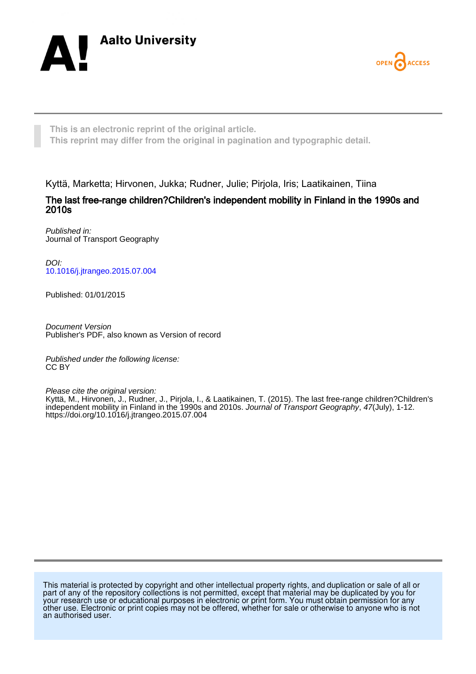



**This is an electronic reprint of the original article. This reprint may differ from the original in pagination and typographic detail.**

Kyttä, Marketta; Hirvonen, Jukka; Rudner, Julie; Pirjola, Iris; Laatikainen, Tiina

The last free-range children?Children's independent mobility in Finland in the 1990s and 2010s

Published in: Journal of Transport Geography

DOI: [10.1016/j.jtrangeo.2015.07.004](https://doi.org/10.1016/j.jtrangeo.2015.07.004)

Published: 01/01/2015

Document Version Publisher's PDF, also known as Version of record

Published under the following license: CC BY

Please cite the original version:

Kyttä, M., Hirvonen, J., Rudner, J., Pirjola, I., & Laatikainen, T. (2015). The last free-range children?Children's independent mobility in Finland in the 1990s and 2010s. Journal of Transport Geography, 47(July), 1-12. <https://doi.org/10.1016/j.jtrangeo.2015.07.004>

This material is protected by copyright and other intellectual property rights, and duplication or sale of all or part of any of the repository collections is not permitted, except that material may be duplicated by you for your research use or educational purposes in electronic or print form. You must obtain permission for any other use. Electronic or print copies may not be offered, whether for sale or otherwise to anyone who is not an authorised user.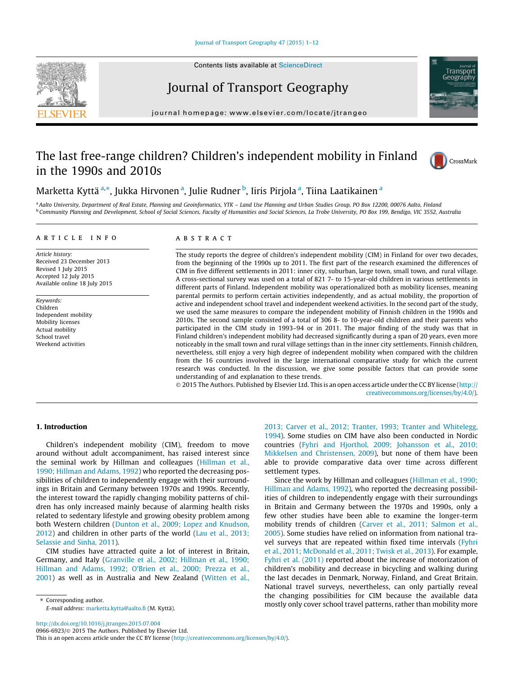#### [Journal of Transport Geography 47 \(2015\) 1–12](http://dx.doi.org/10.1016/j.jtrangeo.2015.07.004)



## Journal of Transport Geography

journal homepage: [www.elsevier.com/locate/jtrangeo](http://www.elsevier.com/locate/jtrangeo)

# The last free-range children? Children's independent mobility in Finland in the 1990s and 2010s



Transport Geography

## Marketta Kyttä <sup>a,</sup>\*, Jukka Hirvonen <sup>a</sup>, Julie Rudner <sup>b</sup>, Iiris Pirjola <sup>a</sup>, Tiina Laatikainen <sup>a</sup>

a Aalto University, Department of Real Estate, Planning and Geoinformatics, YTK - Land Use Planning and Urban Studies Group, PO Box 12200, 00076 Aalto, Finland <sup>b</sup> Community Planning and Development, School of Social Sciences, Faculty of Humanities and Social Sciences, La Trobe University, PO Box 199, Bendigo, VIC 3552, Australia

### article info

Article history: Received 23 December 2013 Revised 1 July 2015 Accepted 12 July 2015 Available online 18 July 2015

Keywords: Children Independent mobility Mobility licenses Actual mobility School travel Weekend activities

#### A B S T R A C T

The study reports the degree of children's independent mobility (CIM) in Finland for over two decades, from the beginning of the 1990s up to 2011. The first part of the research examined the differences of CIM in five different settlements in 2011: inner city, suburban, large town, small town, and rural village. A cross-sectional survey was used on a total of 821 7- to 15-year-old children in various settlements in different parts of Finland. Independent mobility was operationalized both as mobility licenses, meaning parental permits to perform certain activities independently, and as actual mobility, the proportion of active and independent school travel and independent weekend activities. In the second part of the study, we used the same measures to compare the independent mobility of Finnish children in the 1990s and 2010s. The second sample consisted of a total of 306 8- to 10-year-old children and their parents who participated in the CIM study in 1993–94 or in 2011. The major finding of the study was that in Finland children's independent mobility had decreased significantly during a span of 20 years, even more noticeably in the small town and rural village settings than in the inner city settlements. Finnish children, nevertheless, still enjoy a very high degree of independent mobility when compared with the children from the 16 countries involved in the large international comparative study for which the current research was conducted. In the discussion, we give some possible factors that can provide some understanding of and explanation to these trends.

 $\odot$  2015 The Authors. Published by Elsevier Ltd. This is an open access article under the CC BY license ([http://](http://creativecommons.org/licenses/by/4.0/) [creativecommons.org/licenses/by/4.0/](http://creativecommons.org/licenses/by/4.0/)).

### 1. Introduction

Children's independent mobility (CIM), freedom to move around without adult accompaniment, has raised interest since the seminal work by Hillman and colleagues [\(Hillman et al.,](#page-11-0) [1990; Hillman and Adams, 1992\)](#page-11-0) who reported the decreasing possibilities of children to independently engage with their surroundings in Britain and Germany between 1970s and 1990s. Recently, the interest toward the rapidly changing mobility patterns of children has only increased mainly because of alarming health risks related to sedentary lifestyle and growing obesity problem among both Western children ([Dunton et al., 2009; Lopez and Knudson,](#page-11-0) [2012\)](#page-11-0) and children in other parts of the world ([Lau et al., 2013;](#page-11-0) [Selassie and Sinha, 2011](#page-11-0)).

CIM studies have attracted quite a lot of interest in Britain, Germany, and Italy ([Granville et al., 2002; Hillman et al., 1990;](#page-11-0) [Hillman and Adams, 1992; O'Brien et al., 2000; Prezza et al.,](#page-11-0) [2001](#page-11-0)) as well as in Australia and New Zealand ([Witten et al.,](#page-12-0)

⇑ Corresponding author. E-mail address: [marketta.kytta@aalto.fi](mailto:marketta.kytta@aalto.fi) (M. Kyttä). [2013; Carver et al., 2012; Tranter, 1993; Tranter and Whitelegg,](#page-12-0) [1994\)](#page-12-0). Some studies on CIM have also been conducted in Nordic countries ([Fyhri and Hjorthol, 2009; Johansson et al., 2010;](#page-11-0) [Mikkelsen and Christensen, 2009\)](#page-11-0), but none of them have been able to provide comparative data over time across different settlement types.

Since the work by Hillman and colleagues ([Hillman et al., 1990;](#page-11-0) [Hillman and Adams, 1992\)](#page-11-0), who reported the decreasing possibilities of children to independently engage with their surroundings in Britain and Germany between the 1970s and 1990s, only a few other studies have been able to examine the longer-term mobility trends of children [\(Carver et al., 2011; Salmon et al.,](#page-11-0) [2005](#page-11-0)). Some studies have relied on information from national travel surveys that are repeated within fixed time intervals [\(Fyhri](#page-11-0) [et al., 2011; McDonald et al., 2011; Twisk et al., 2013\)](#page-11-0). For example, [Fyhri et al. \(2011\)](#page-11-0) reported about the increase of motorization of children's mobility and decrease in bicycling and walking during the last decades in Denmark, Norway, Finland, and Great Britain. National travel surveys, nevertheless, can only partially reveal the changing possibilities for CIM because the available data mostly only cover school travel patterns, rather than mobility more

<http://dx.doi.org/10.1016/j.jtrangeo.2015.07.004>

0966-6923/© 2015 The Authors. Published by Elsevier Ltd.

This is an open access article under the CC BY license [\(http://creativecommons.org/licenses/by/4.0/\)](http://creativecommons.org/licenses/by/4.0/).

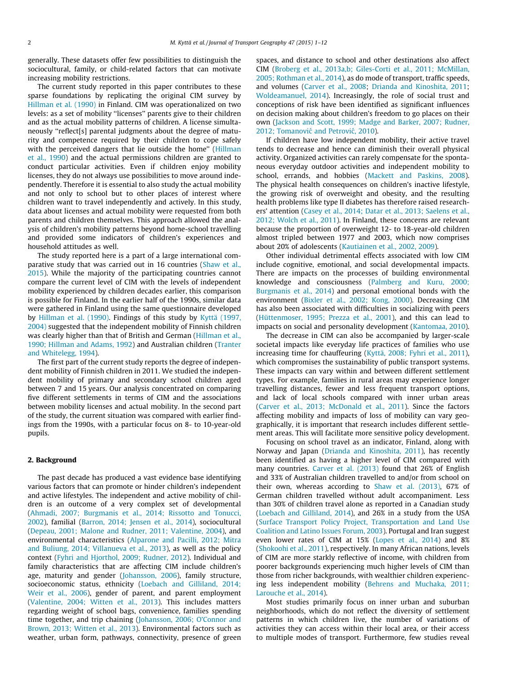generally. These datasets offer few possibilities to distinguish the sociocultural, family, or child-related factors that can motivate increasing mobility restrictions.

The current study reported in this paper contributes to these sparse foundations by replicating the original CIM survey by [Hillman et al. \(1990\)](#page-11-0) in Finland. CIM was operationalized on two levels: as a set of mobility ''licenses'' parents give to their children and as the actual mobility patterns of children. A license simultaneously ''reflect[s] parental judgments about the degree of maturity and competence required by their children to cope safely with the perceived dangers that lie outside the home" [\(Hillman](#page-11-0) [et al., 1990\)](#page-11-0) and the actual permissions children are granted to conduct particular activities. Even if children enjoy mobility licenses, they do not always use possibilities to move around independently. Therefore it is essential to also study the actual mobility and not only to school but to other places of interest where children want to travel independently and actively. In this study, data about licenses and actual mobility were requested from both parents and children themselves. This approach allowed the analysis of children's mobility patterns beyond home-school travelling and provided some indicators of children's experiences and household attitudes as well.

The study reported here is a part of a large international comparative study that was carried out in 16 countries ([Shaw et al.,](#page-12-0) [2015\)](#page-12-0). While the majority of the participating countries cannot compare the current level of CIM with the levels of independent mobility experienced by children decades earlier, this comparison is possible for Finland. In the earlier half of the 1990s, similar data were gathered in Finland using the same questionnaire developed by [Hillman et al. \(1990\)](#page-11-0). Findings of this study by [Kyttä \(1997,](#page-11-0) [2004\)](#page-11-0) suggested that the independent mobility of Finnish children was clearly higher than that of British and German ([Hillman et al.,](#page-11-0) [1990; Hillman and Adams, 1992\)](#page-11-0) and Australian children [\(Tranter](#page-12-0) [and Whitelegg, 1994\)](#page-12-0).

The first part of the current study reports the degree of independent mobility of Finnish children in 2011. We studied the independent mobility of primary and secondary school children aged between 7 and 15 years. Our analysis concentrated on comparing five different settlements in terms of CIM and the associations between mobility licenses and actual mobility. In the second part of the study, the current situation was compared with earlier findings from the 1990s, with a particular focus on 8- to 10-year-old pupils.

#### 2. Background

The past decade has produced a vast evidence base identifying various factors that can promote or hinder children's independent and active lifestyles. The independent and active mobility of children is an outcome of a very complex set of developmental ([Ahmadi, 2007; Burgmanis et al., 2014; Rissotto and Tonucci,](#page-10-0) [2002\)](#page-10-0), familial [\(Barron, 2014; Jensen et al., 2014](#page-10-0)), sociocultural ([Depeau, 2001; Malone and Rudner, 2011; Valentine, 2004\)](#page-11-0), and environmental characteristics [\(Alparone and Pacilli, 2012; Mitra](#page-10-0) [and Buliung, 2014; Villanueva et al., 2013\)](#page-10-0), as well as the policy context [\(Fyhri and Hjorthol, 2009; Rudner, 2012](#page-11-0)). Individual and family characteristics that are affecting CIM include children's age, maturity and gender [\(Johansson, 2006](#page-11-0)), family structure, socioeconomic status, ethnicity [\(Loebach and Gilliland, 2014;](#page-11-0) [Weir et al., 2006\)](#page-11-0), gender of parent, and parent employment ([Valentine, 2004; Witten et al., 2013](#page-12-0)). This includes matters regarding weight of school bags, convenience, families spending time together, and trip chaining [\(Johansson, 2006; O'Connor and](#page-11-0) [Brown, 2013; Witten et al., 2013\)](#page-11-0). Environmental factors such as weather, urban form, pathways, connectivity, presence of green spaces, and distance to school and other destinations also affect CIM ([Broberg et al., 2013a,b; Giles-Corti et al., 2011; McMillan,](#page-11-0) [2005; Rothman et al., 2014](#page-11-0)), as do mode of transport, traffic speeds, and volumes [\(Carver et al., 2008](#page-11-0); [Drianda and Kinoshita, 2011;](#page-11-0) [Woldeamanuel, 2014\)](#page-12-0). Increasingly, the role of social trust and conceptions of risk have been identified as significant influences on decision making about children's freedom to go places on their own ([Jackson and Scott, 1999; Madge and Barker, 2007; Rudner,](#page-11-0) 2012; Tomanović and Petrović, 2010).

If children have low independent mobility, their active travel tends to decrease and hence can diminish their overall physical activity. Organized activities can rarely compensate for the spontaneous everyday outdoor activities and independent mobility to school, errands, and hobbies [\(Mackett and Paskins, 2008\)](#page-11-0). The physical health consequences on children's inactive lifestyle, the growing risk of overweight and obesity, and the resulting health problems like type II diabetes has therefore raised researchers' attention ([Casey et al., 2014; Datar et al., 2013; Saelens et al.,](#page-11-0) [2012; Wolch et al., 2011](#page-11-0)). In Finland, these concerns are relevant because the proportion of overweight 12- to 18-year-old children almost tripled between 1977 and 2003, which now comprises about 20% of adolescents ([Kautiainen et al., 2002, 2009\)](#page-11-0).

Other individual detrimental effects associated with low CIM include cognitive, emotional, and social developmental impacts. There are impacts on the processes of building environmental knowledge and consciousness [\(Palmberg and Kuru, 2000;](#page-12-0) [Burgmanis et al., 2014](#page-12-0)) and personal emotional bonds with the environment [\(Bixler et al., 2002; Kong, 2000](#page-11-0)). Decreasing CIM has also been associated with difficulties in socializing with peers ([Hüttenmoser, 1995; Prezza et al., 2001](#page-11-0)), and this can lead to impacts on social and personality development [\(Kantomaa, 2010\)](#page-11-0).

The decrease in CIM can also be accompanied by larger-scale societal impacts like everyday life practices of families who use increasing time for chauffeuring ([Kyttä, 2008; Fyhri et al., 2011\)](#page-11-0), which compromises the sustainability of public transport systems. These impacts can vary within and between different settlement types. For example, families in rural areas may experience longer travelling distances, fewer and less frequent transport options, and lack of local schools compared with inner urban areas ([Carver et al., 2013; McDonald et al., 2011](#page-11-0)). Since the factors affecting mobility and impacts of loss of mobility can vary geographically, it is important that research includes different settlement areas. This will facilitate more sensitive policy development.

Focusing on school travel as an indicator, Finland, along with Norway and Japan [\(Drianda and Kinoshita, 2011\)](#page-11-0), has recently been identified as having a higher level of CIM compared with many countries. [Carver et al. \(2013\)](#page-11-0) found that 26% of English and 33% of Australian children travelled to and/or from school on their own, whereas according to [Shaw et al. \(2013\)](#page-12-0), 67% of German children travelled without adult accompaniment. Less than 30% of children travel alone as reported in a Canadian study ([Loebach and Gilliland, 2014\)](#page-11-0), and 26% in a study from the USA ([Surface Transport Policy Project, Transportation and Land Use](#page-12-0) [Coalition and Latino Issues Forum, 2003\)](#page-12-0). Portugal and Iran suggest even lower rates of CIM at 15% [\(Lopes et al., 2014\)](#page-11-0) and 8% ([Shokoohi et al., 2011](#page-12-0)), respectively. In many African nations, levels of CIM are more starkly reflective of income, with children from poorer backgrounds experiencing much higher levels of CIM than those from richer backgrounds, with wealthier children experiencing less independent mobility [\(Behrens and Muchaka, 2011;](#page-11-0) [Larouche et al., 2014\)](#page-11-0).

Most studies primarily focus on inner urban and suburban neighborhoods, which do not reflect the diversity of settlement patterns in which children live, the number of variations of activities they can access within their local area, or their access to multiple modes of transport. Furthermore, few studies reveal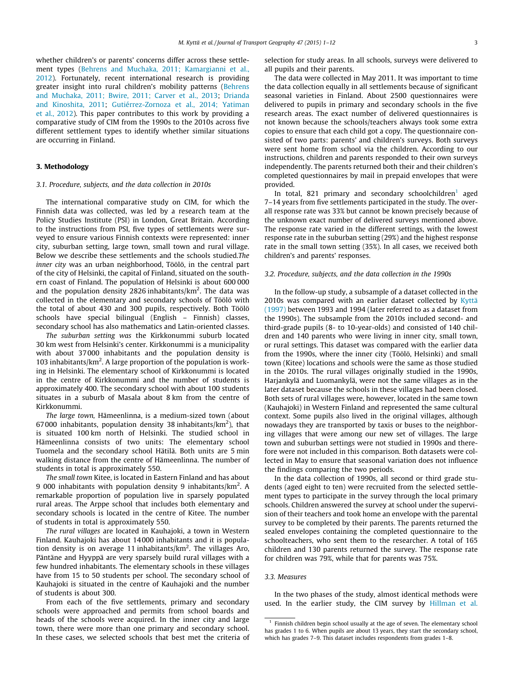whether children's or parents' concerns differ across these settlement types ([Behrens and Muchaka, 2011; Kamargianni et al.,](#page-11-0) [2012\)](#page-11-0). Fortunately, recent international research is providing greater insight into rural children's mobility patterns [\(Behrens](#page-11-0) [and Muchaka, 2011; Bwire, 2011; Carver et al., 2013](#page-11-0); [Drianda](#page-11-0) [and Kinoshita, 2011;](#page-11-0) [Gutiérrez-Zornoza et al., 2014; Yatiman](#page-11-0) [et al., 2012](#page-11-0)). This paper contributes to this work by providing a comparative study of CIM from the 1990s to the 2010s across five different settlement types to identify whether similar situations are occurring in Finland.

### 3. Methodology

#### 3.1. Procedure, subjects, and the data collection in 2010s

The international comparative study on CIM, for which the Finnish data was collected, was led by a research team at the Policy Studies Institute (PSI) in London, Great Britain. According to the instructions from PSI, five types of settlements were surveyed to ensure various Finnish contexts were represented: inner city, suburban setting, large town, small town and rural village. Below we describe these settlements and the schools studied.The inner city was an urban neighborhood, Töölö, in the central part of the city of Helsinki, the capital of Finland, situated on the southern coast of Finland. The population of Helsinki is about 600 000 and the population density 2826 inhabitants/ $km^2$ . The data was collected in the elementary and secondary schools of Töölö with the total of about 430 and 300 pupils, respectively. Both Töölö schools have special bilingual (English – Finnish) classes, secondary school has also mathematics and Latin-oriented classes.

The suburban setting was the Kirkkonummi suburb located 30 km west from Helsinki's center. Kirkkonummi is a municipality with about 37 000 inhabitants and the population density is 103 inhabitants/km<sup>2</sup>. A large proportion of the population is working in Helsinki. The elementary school of Kirkkonummi is located in the centre of Kirkkonummi and the number of students is approximately 400. The secondary school with about 100 students situates in a suburb of Masala about 8 km from the centre of Kirkkonummi.

The large town, Hämeenlinna, is a medium-sized town (about 67000 inhabitants, population density 38 inhabitants/ $km<sup>2</sup>$ ), that is situated 100 km north of Helsinki. The studied school in Hämeenlinna consists of two units: The elementary school Tuomela and the secondary school Hätilä. Both units are 5 min walking distance from the centre of Hämeenlinna. The number of students in total is approximately 550.

The small town Kitee, is located in Eastern Finland and has about 9 000 inhabitants with population density 9 inhabitants/km<sup>2</sup>. A remarkable proportion of population live in sparsely populated rural areas. The Arppe school that includes both elementary and secondary schools is located in the centre of Kitee. The number of students in total is approximately 550.

The rural villages are located in Kauhajoki, a town in Western Finland. Kauhajoki has about 14 000 inhabitants and it is population density is on average 11 inhabitants/km<sup>2</sup>. The villages Aro, Päntäne and Hyyppä are very sparsely build rural villages with a few hundred inhabitants. The elementary schools in these villages have from 15 to 50 students per school. The secondary school of Kauhajoki is situated in the centre of Kauhajoki and the number of students is about 300.

From each of the five settlements, primary and secondary schools were approached and permits from school boards and heads of the schools were acquired. In the inner city and large town, there were more than one primary and secondary school. In these cases, we selected schools that best met the criteria of selection for study areas. In all schools, surveys were delivered to all pupils and their parents.

The data were collected in May 2011. It was important to time the data collection equally in all settlements because of significant seasonal varieties in Finland. About 2500 questionnaires were delivered to pupils in primary and secondary schools in the five research areas. The exact number of delivered questionnaires is not known because the schools/teachers always took some extra copies to ensure that each child got a copy. The questionnaire consisted of two parts: parents' and children's surveys. Both surveys were sent home from school via the children. According to our instructions, children and parents responded to their own surveys independently. The parents returned both their and their children's completed questionnaires by mail in prepaid envelopes that were provided.

In total, 821 primary and secondary schoolchildren<sup>1</sup> aged 7–14 years from five settlements participated in the study. The overall response rate was 33% but cannot be known precisely because of the unknown exact number of delivered surveys mentioned above. The response rate varied in the different settings, with the lowest response rate in the suburban setting (29%) and the highest response rate in the small town setting (35%). In all cases, we received both children's and parents' responses.

#### 3.2. Procedure, subjects, and the data collection in the 1990s

In the follow-up study, a subsample of a dataset collected in the 2010s was compared with an earlier dataset collected by [Kyttä](#page-11-0) [\(1997\)](#page-11-0) between 1993 and 1994 (later referred to as a dataset from the 1990s). The subsample from the 2010s included second- and third-grade pupils (8- to 10-year-olds) and consisted of 140 children and 140 parents who were living in inner city, small town, or rural settings. This dataset was compared with the earlier data from the 1990s, where the inner city (Töölö, Helsinki) and small town (Kitee) locations and schools were the same as those studied in the 2010s. The rural villages originally studied in the 1990s, Harjankylä and Luomankylä, were not the same villages as in the later dataset because the schools in these villages had been closed. Both sets of rural villages were, however, located in the same town (Kauhajoki) in Western Finland and represented the same cultural context. Some pupils also lived in the original villages, although nowadays they are transported by taxis or buses to the neighboring villages that were among our new set of villages. The large town and suburban settings were not studied in 1990s and therefore were not included in this comparison. Both datasets were collected in May to ensure that seasonal variation does not influence the findings comparing the two periods.

In the data collection of 1990s, all second or third grade students (aged eight to ten) were recruited from the selected settlement types to participate in the survey through the local primary schools. Children answered the survey at school under the supervision of their teachers and took home an envelope with the parental survey to be completed by their parents. The parents returned the sealed envelopes containing the completed questionnaire to the schoolteachers, who sent them to the researcher. A total of 165 children and 130 parents returned the survey. The response rate for children was 79%, while that for parents was 75%.

#### 3.3. Measures

In the two phases of the study, almost identical methods were used. In the earlier study, the CIM survey by [Hillman et al.](#page-11-0)

 $^{\rm 1}$  Finnish children begin school usually at the age of seven. The elementary school has grades 1 to 6. When pupils are about 13 years, they start the secondary school, which has grades 7–9. This dataset includes respondents from grades 1–8.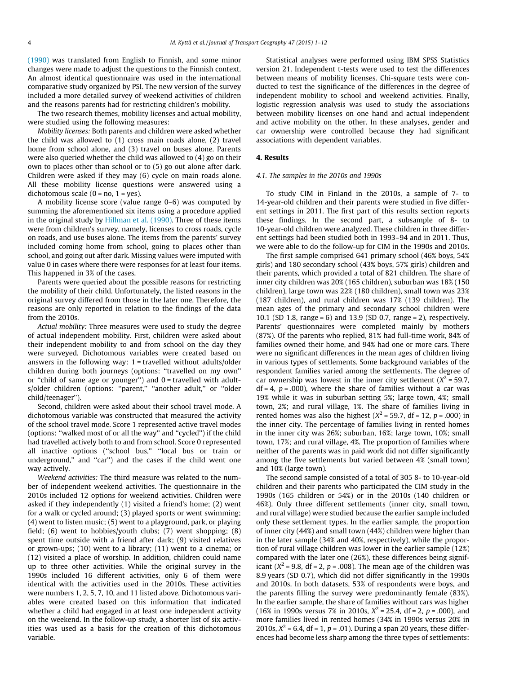[\(1990\)](#page-11-0) was translated from English to Finnish, and some minor changes were made to adjust the questions to the Finnish context. An almost identical questionnaire was used in the international comparative study organized by PSI. The new version of the survey included a more detailed survey of weekend activities of children and the reasons parents had for restricting children's mobility.

The two research themes, mobility licenses and actual mobility, were studied using the following measures:

Mobility licenses: Both parents and children were asked whether the child was allowed to (1) cross main roads alone, (2) travel home from school alone, and (3) travel on buses alone. Parents were also queried whether the child was allowed to (4) go on their own to places other than school or to (5) go out alone after dark. Children were asked if they may (6) cycle on main roads alone. All these mobility license questions were answered using a dichotomous scale  $(0 = no, 1 = yes)$ .

A mobility license score (value range 0–6) was computed by summing the aforementioned six items using a procedure applied in the original study by [Hillman et al. \(1990\)](#page-11-0). Three of these items were from children's survey, namely, licenses to cross roads, cycle on roads, and use buses alone. The items from the parents' survey included coming home from school, going to places other than school, and going out after dark. Missing values were imputed with value 0 in cases where there were responses for at least four items. This happened in 3% of the cases.

Parents were queried about the possible reasons for restricting the mobility of their child. Unfortunately, the listed reasons in the original survey differed from those in the later one. Therefore, the reasons are only reported in relation to the findings of the data from the 2010s.

Actual mobility: Three measures were used to study the degree of actual independent mobility. First, children were asked about their independent mobility to and from school on the day they were surveyed. Dichotomous variables were created based on answers in the following way: 1 = travelled without adults/older children during both journeys (options: ''travelled on my own'' or "child of same age or younger") and  $0 =$  travelled with adults/older children (options: "parent," "another adult," or "older child/teenager'').

Second, children were asked about their school travel mode. A dichotomous variable was constructed that measured the activity of the school travel mode. Score 1 represented active travel modes (options: ''walked most of or all the way'' and ''cycled'') if the child had travelled actively both to and from school. Score 0 represented all inactive options (''school bus,'' ''local bus or train or underground,'' and ''car'') and the cases if the child went one way actively.

Weekend activities: The third measure was related to the number of independent weekend activities. The questionnaire in the 2010s included 12 options for weekend activities. Children were asked if they independently (1) visited a friend's home; (2) went for a walk or cycled around; (3) played sports or went swimming; (4) went to listen music; (5) went to a playground, park, or playing field; (6) went to hobbies/youth clubs; (7) went shopping; (8) spent time outside with a friend after dark; (9) visited relatives or grown-ups; (10) went to a library; (11) went to a cinema; or (12) visited a place of worship. In addition, children could name up to three other activities. While the original survey in the 1990s included 16 different activities, only 6 of them were identical with the activities used in the 2010s. These activities were numbers 1, 2, 5, 7, 10, and 11 listed above. Dichotomous variables were created based on this information that indicated whether a child had engaged in at least one independent activity on the weekend. In the follow-up study, a shorter list of six activities was used as a basis for the creation of this dichotomous variable.

Statistical analyses were performed using IBM SPSS Statistics version 21. Independent t-tests were used to test the differences between means of mobility licenses. Chi-square tests were conducted to test the significance of the differences in the degree of independent mobility to school and weekend activities. Finally, logistic regression analysis was used to study the associations between mobility licenses on one hand and actual independent and active mobility on the other. In these analyses, gender and car ownership were controlled because they had significant associations with dependent variables.

#### 4. Results

### 4.1. The samples in the 2010s and 1990s

To study CIM in Finland in the 2010s, a sample of 7- to 14-year-old children and their parents were studied in five different settings in 2011. The first part of this results section reports these findings. In the second part, a subsample of 8- to 10-year-old children were analyzed. These children in three different settings had been studied both in 1993–94 and in 2011. Thus, we were able to do the follow-up for CIM in the 1990s and 2010s.

The first sample comprised 641 primary school (46% boys, 54% girls) and 180 secondary school (43% boys, 57% girls) children and their parents, which provided a total of 821 children. The share of inner city children was 20% (165 children), suburban was 18% (150 children), large town was 22% (180 children), small town was 23% (187 children), and rural children was 17% (139 children). The mean ages of the primary and secondary school children were 10.1 (SD 1.8, range = 6) and 13.9 (SD 0.7, range = 2), respectively. Parents' questionnaires were completed mainly by mothers (87%). Of the parents who replied, 81% had full-time work, 84% of families owned their home, and 94% had one or more cars. There were no significant differences in the mean ages of children living in various types of settlements. Some background variables of the respondent families varied among the settlements. The degree of car ownership was lowest in the inner city settlement ( $X^2$  = 59.7,  $df = 4$ ,  $p = .000$ ), where the share of families without a car was 19% while it was in suburban setting 5%; large town, 4%; small town, 2%; and rural village, 1%. The share of families living in rented homes was also the highest ( $X^2$  = 59.7, df = 12, p = .000) in the inner city. The percentage of families living in rented homes in the inner city was 26%; suburban, 16%; large town, 10%; small town, 17%; and rural village, 4%. The proportion of families where neither of the parents was in paid work did not differ significantly among the five settlements but varied between 4% (small town) and 10% (large town).

The second sample consisted of a total of 305 8- to 10-year-old children and their parents who participated the CIM study in the 1990s (165 children or 54%) or in the 2010s (140 children or 46%). Only three different settlements (inner city, small town, and rural village) were studied because the earlier sample included only these settlement types. In the earlier sample, the proportion of inner city (44%) and small town (44%) children were higher than in the later sample (34% and 40%, respectively), while the proportion of rural village children was lower in the earlier sample (12%) compared with the later one (26%), these differences being significant ( $X^2$  = 9.8, df = 2, p = .008). The mean age of the children was 8.9 years (SD 0.7), which did not differ significantly in the 1990s and 2010s. In both datasets, 53% of respondents were boys, and the parents filling the survey were predominantly female (83%). In the earlier sample, the share of families without cars was higher (16% in 1990s versus 7% in 2010s,  $X^2 = 25.4$ , df = 2, p = .000), and more families lived in rented homes (34% in 1990s versus 20% in 2010s,  $X^2$  = 6.4, df = 1, p = .01). During a span 20 years, these differences had become less sharp among the three types of settlements: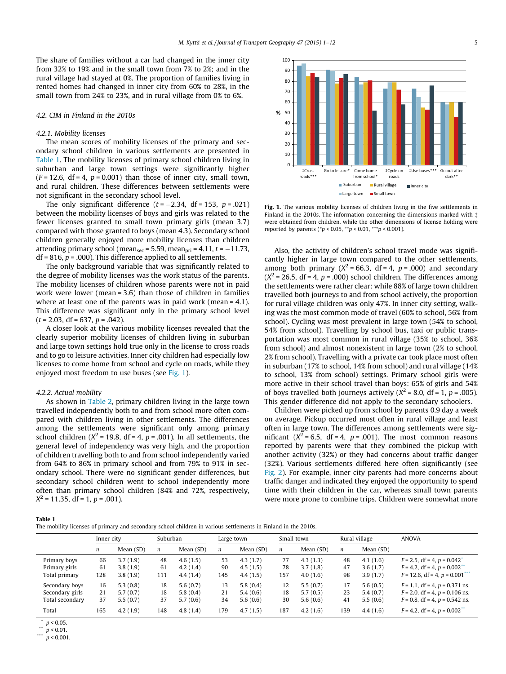The share of families without a car had changed in the inner city from 32% to 19% and in the small town from 7% to 2%; and in the rural village had stayed at 0%. The proportion of families living in rented homes had changed in inner city from 60% to 28%, in the small town from 24% to 23%, and in rural village from 0% to 6%.

## 4.2. CIM in Finland in the 2010s

#### 4.2.1. Mobility licenses

The mean scores of mobility licenses of the primary and secondary school children in various settlements are presented in Table 1. The mobility licenses of primary school children living in suburban and large town settings were significantly higher  $(F = 12.6, df = 4, p = 0.001)$  than those of inner city, small town, and rural children. These differences between settlements were not significant in the secondary school level.

The only significant difference ( $t$  =  $-2.34$ , df = 153,  $p$  = .021) between the mobility licenses of boys and girls was related to the fewer licenses granted to small town primary girls (mean 3.7) compared with those granted to boys (mean 4.3). Secondary school children generally enjoyed more mobility licenses than children attending primary school (mean $_{\rm sec}$  = 5.59, mean $_{\rm pri}$  = 4.11,  $t$  =  $-11.73,$  $df = 816$ ,  $p = .000$ ). This difference applied to all settlements.

The only background variable that was significantly related to the degree of mobility licenses was the work status of the parents. The mobility licenses of children whose parents were not in paid work were lower (mean = 3.6) than those of children in families where at least one of the parents was in paid work (mean = 4.1). This difference was significant only in the primary school level  $(t = 2.03, df = 637, p = .042)$ .

A closer look at the various mobility licenses revealed that the clearly superior mobility licenses of children living in suburban and large town settings hold true only in the license to cross roads and to go to leisure activities. Inner city children had especially low licenses to come home from school and cycle on roads, while they enjoyed most freedom to use buses (see Fig. 1).

#### 4.2.2. Actual mobility

As shown in [Table 2,](#page-6-0) primary children living in the large town travelled independently both to and from school more often compared with children living in other settlements. The differences among the settlements were significant only among primary school children ( $X^2$  = 19.8, df = 4, p = .001). In all settlements, the general level of independency was very high, and the proportion of children travelling both to and from school independently varied from 64% to 86% in primary school and from 79% to 91% in secondary school. There were no significant gender differences, but secondary school children went to school independently more often than primary school children (84% and 72%, respectively,  $X^2 = 11.35$ , df = 1, p = .001).



Fig. 1. The various mobility licenses of children living in the five settlements in Finland in the 2010s. The information concerning the dimensions marked with  $\ddagger$ were obtained from children, while the other dimensions of license holding were reported by parents ( $p < 0.05$ ,  $* p < 0.01$ ,  $** p < 0.001$ ).

Also, the activity of children's school travel mode was significantly higher in large town compared to the other settlements, among both primary ( $X^2$  = 66.3, df = 4, p = .000) and secondary  $(X^2 = 26.5, df = 4, p = .000)$  school children. The differences among the settlements were rather clear: while 88% of large town children travelled both journeys to and from school actively, the proportion for rural village children was only 47%. In inner city setting, walking was the most common mode of travel (60% to school, 56% from school). Cycling was most prevalent in large town (54% to school, 54% from school). Travelling by school bus, taxi or public transportation was most common in rural village (35% to school, 36% from school) and almost nonexistent in large town (2% to school, 2% from school). Travelling with a private car took place most often in suburban (17% to school, 14% from school) and rural village (14% to school, 13% from school) settings. Primary school girls were more active in their school travel than boys: 65% of girls and 54% of boys travelled both journeys actively ( $X^2$  = 8.0, df = 1, p = .005). This gender difference did not apply to the secondary schoolers.

Children were picked up from school by parents 0.9 day a week on average. Pickup occurred most often in rural village and least often in large town. The differences among settlements were significant  $(X^2 = 6.5, df = 4, p = .001)$ . The most common reasons reported by parents were that they combined the pickup with another activity (32%) or they had concerns about traffic danger (32%). Various settlements differed here often significantly (see [Fig. 2](#page-6-0)). For example, inner city parents had more concerns about traffic danger and indicated they enjoyed the opportunity to spend time with their children in the car, whereas small town parents were more prone to combine trips. Children were somewhat more

Table 1

|  |  | The mobility licenses of primary and secondary school children in various settlements in Finland in the 2010s. |
|--|--|----------------------------------------------------------------------------------------------------------------|
|--|--|----------------------------------------------------------------------------------------------------------------|

|                 | Inner city       |           | Suburban |           | Large town |           | Small town       |             | Rural village |           | <b>ANOVA</b>                               |
|-----------------|------------------|-----------|----------|-----------|------------|-----------|------------------|-------------|---------------|-----------|--------------------------------------------|
|                 | $\boldsymbol{n}$ | Mean (SD) | n        | Mean (SD) | n          | Mean (SD) | $\boldsymbol{n}$ | Mean $(SD)$ | n             | Mean (SD) |                                            |
| Primary boys    | 66               | 3.7(1.9)  | 48       | 4.6(1.5)  | 53         | 4.3(1.7)  | 77               | 4.3(1.3)    | 48            | 4.1(1.6)  | $F = 2.5$ , df = 4, p = 0.042 <sup>*</sup> |
| Primary girls   | 61               | 3.8(1.9)  | 61       | 4.2(1.4)  | 90         | 4.5(1.5)  | 78               | 3.7(1.8)    | 47            | 3.6(1.7)  | $F = 4.2$ , df = 4, p = 0.002 <sup>*</sup> |
| Total primary   | 128              | 3.8(1.9)  | 111      | 4.4(1.4)  | 145        | 4.4(1.5)  | 157              | 4.0(1.6)    | 98            | 3.9(1.7)  | $F = 12.6$ , df = 4, p = 0.001***          |
| Secondary boys  | 16               | 5.3(0.8)  | 18       | 5.6(0.7)  | 13         | 5.8(0.4)  | 12               | 5.5(0.7)    | 17            | 5.6(0.5)  | $F = 1.1$ , df = 4, p = 0.371 ns.          |
| Secondary girls | 21               | 5.7(0.7)  | 18       | 5.8(0.4)  | 21         | 5.4(0.6)  | 18               | 5.7(0.5)    | 23            | 5.4(0.7)  | $F = 2.0$ , df = 4, p = 0.106 ns.          |
| Total secondary | 37               | 5.5(0.7)  | 37       | 5.7(0.6)  | 34         | 5.6(0.6)  | 30               | 5.6(0.6)    | 41            | 5.5(0.6)  | $F = 0.8$ , df = 4, p = 0.542 ns.          |
| Total           | 165              | 4.2(1.9)  | 148      | 4.8(1.4)  | 179        | 4.7(1.5)  | 187              | 4.2(1.6)    | 139           | 4.4(1.6)  | $F = 4.2$ , df = 4, p = 0.002 <sup>*</sup> |

 $p < 0.05$ .

 $p < 0.01$ .  $p < 0.001$ .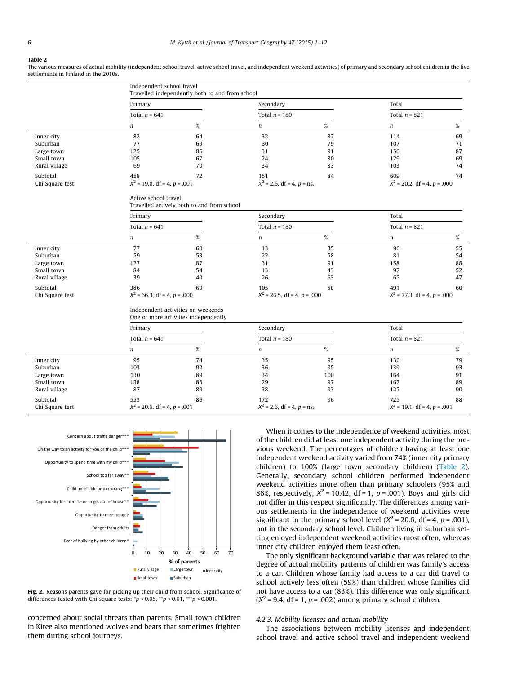#### <span id="page-6-0"></span>Table 2

The various measures of actual mobility (independent school travel, active school travel, and independent weekend activities) of primary and secondary school children in the five settlements in Finland in the 2010s.

|                 |                                | Independent school travel<br>Travelled independently both to and from school |                                |      |                                 |      |  |  |  |  |  |
|-----------------|--------------------------------|------------------------------------------------------------------------------|--------------------------------|------|---------------------------------|------|--|--|--|--|--|
|                 | Primary                        |                                                                              | Secondary                      |      | Total                           |      |  |  |  |  |  |
|                 | Total $n = 641$                |                                                                              | Total $n = 180$                |      | Total $n = 821$                 |      |  |  |  |  |  |
|                 | $\boldsymbol{n}$               | $\%$                                                                         | $\boldsymbol{n}$               | $\%$ | $\boldsymbol{n}$                | $\%$ |  |  |  |  |  |
| Inner city      | 82                             | 64                                                                           | 32                             | 87   | 114                             | 69   |  |  |  |  |  |
| Suburban        | 77                             | 69                                                                           | 30                             | 79   | 107                             | 71   |  |  |  |  |  |
| Large town      | 125                            | 86                                                                           | 31                             | 91   | 156                             | 87   |  |  |  |  |  |
| Small town      | 105                            | 67                                                                           | 24                             | 80   | 129                             | 69   |  |  |  |  |  |
| Rural village   | 69                             | 70                                                                           | 34                             | 83   | 103                             | 74   |  |  |  |  |  |
| Subtotal        | 458                            | 72                                                                           | 151                            | 84   | 609                             | 74   |  |  |  |  |  |
| Chi Square test | $X^2$ = 19.8, df = 4, p = .001 |                                                                              | $X^2$ = 2.6, df = 4, p = ns.   |      | $X^2$ = 20.2, df = 4, p = .000  |      |  |  |  |  |  |
|                 | Active school travel           | Travelled actively both to and from school                                   |                                |      |                                 |      |  |  |  |  |  |
|                 | Primary                        |                                                                              | Secondary                      |      | Total                           |      |  |  |  |  |  |
|                 | Total $n = 641$                |                                                                              | Total $n = 180$                |      | Total $n = 821$                 |      |  |  |  |  |  |
|                 | $\boldsymbol{n}$               | $\%$                                                                         | n                              | $\%$ | n                               | $\%$ |  |  |  |  |  |
| Inner city      | 77                             | 60                                                                           | 13                             | 35   | 90                              | 55   |  |  |  |  |  |
| Suburban        | 59                             | 53                                                                           | 22                             | 58   | 81                              | 54   |  |  |  |  |  |
| Large town      | 127                            | 87                                                                           | 31                             | 91   | 158                             | 88   |  |  |  |  |  |
| Small town      | 84                             | 54                                                                           | 13                             | 43   | 97                              | 52   |  |  |  |  |  |
| Rural village   | 39                             | 40                                                                           | 26                             | 63   | 65                              | 47   |  |  |  |  |  |
| Subtotal        | 386                            | 60                                                                           | 105                            | 58   | 491                             | 60   |  |  |  |  |  |
| Chi Square test | $X^2$ = 66.3, df = 4, p = .000 |                                                                              | $X^2$ = 26.5, df = 4, p = .000 |      | $X^2$ = 77.3, df = 4, p = .000  |      |  |  |  |  |  |
|                 |                                | Independent activities on weekends<br>One or more activities independently   |                                |      |                                 |      |  |  |  |  |  |
|                 | Primary                        |                                                                              | Secondary                      |      | Total                           |      |  |  |  |  |  |
|                 | Total $n = 641$                |                                                                              | Total $n = 180$                |      | Total $n = 821$                 |      |  |  |  |  |  |
|                 | $\boldsymbol{n}$               | $\%$                                                                         | $\boldsymbol{n}$               | $\%$ | $\boldsymbol{n}$                | %    |  |  |  |  |  |
| Inner city      | 95                             | 74                                                                           | 35                             | 95   | 130                             | 79   |  |  |  |  |  |
| Suburban        | 103                            | 92                                                                           | 36                             | 95   | 139                             | 93   |  |  |  |  |  |
| Large town      | 130                            | 89                                                                           | 34                             | 100  | 164                             | 91   |  |  |  |  |  |
| Small town      | 138                            | 88                                                                           | 29                             | 97   | 167                             | 89   |  |  |  |  |  |
| Rural village   | 87                             | 89                                                                           | 38                             | 93   | 125                             | 90   |  |  |  |  |  |
| Subtotal        | 553                            | 86                                                                           | 172                            | 96   | 725                             | 88   |  |  |  |  |  |
| Chi Square test | $X^2$ = 20.6, df = 4, p = .001 |                                                                              | $X^2$ = 2.6, df = 4, p = ns.   |      | $X^2 = 19.1$ , df = 4, p = .001 |      |  |  |  |  |  |





concerned about social threats than parents. Small town children in Kitee also mentioned wolves and bears that sometimes frighten them during school journeys.

When it comes to the independence of weekend activities, most of the children did at least one independent activity during the previous weekend. The percentages of children having at least one independent weekend activity varied from 74% (inner city primary children) to 100% (large town secondary children) (Table 2). Generally, secondary school children performed independent weekend activities more often than primary schoolers (95% and 86%, respectively,  $X^2 = 10.42$ , df = 1,  $p = .001$ ). Boys and girls did not differ in this respect significantly. The differences among various settlements in the independence of weekend activities were significant in the primary school level  $(X^2 = 20.6, df = 4, p = .001)$ , not in the secondary school level. Children living in suburban setting enjoyed independent weekend activities most often, whereas inner city children enjoyed them least often.

The only significant background variable that was related to the degree of actual mobility patterns of children was family's access to a car. Children whose family had access to a car did travel to school actively less often (59%) than children whose families did not have access to a car (83%). This difference was only significant  $(X^2 = 9.4, df = 1, p = .002)$  among primary school children.

### 4.2.3. Mobility licenses and actual mobility

The associations between mobility licenses and independent school travel and active school travel and independent weekend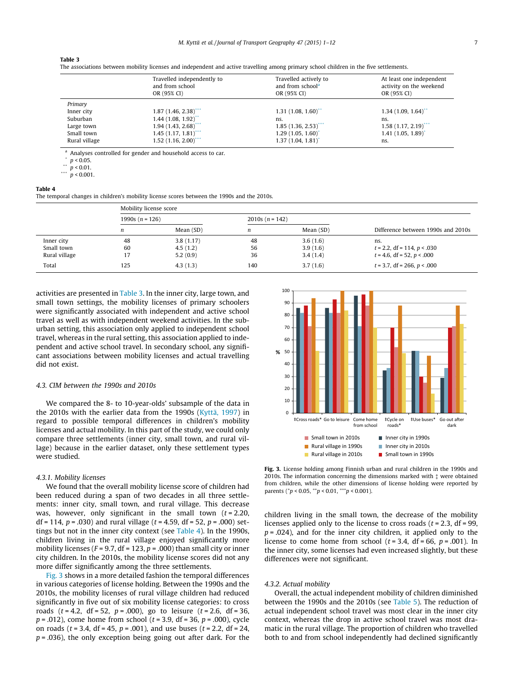#### Table 3

The associations between mobility licenses and independent and active travelling among primary school children in the five settlements.

|               | Travelled independently to<br>and from school<br>OR (95% CI) | Travelled actively to<br>and from school <sup>a</sup><br>OR (95% CI) | At least one independent<br>activity on the weekend<br>OR (95% CI) |
|---------------|--------------------------------------------------------------|----------------------------------------------------------------------|--------------------------------------------------------------------|
| Primary       |                                                              |                                                                      |                                                                    |
| Inner city    | 1.87(1.46, 2.38)                                             | 1.31(1.08, 1.60)                                                     | 1.34(1.09, 1.64)                                                   |
| Suburban      | 1.44(1.08, 1.92)                                             | ns.                                                                  | ns.                                                                |
| Large town    | 1.94(1.43, 2.68)                                             | 1.85(1.36, 2.53)                                                     | $1.58(1.17, 2.19)$ <sup>***</sup>                                  |
| Small town    | 1.45(1.17, 1.81)                                             | 1.29(1.05, 1.60)                                                     | 1.41(1.05, 1.89)                                                   |
| Rural village | $1.52$ (1.16, 2.00) <sup>***</sup>                           | 1.37(1.04, 1.81)                                                     | ns.                                                                |

Analyses controlled for gender and household access to car.

 $p < 0.05$ .

 $\sum_{n=1}^{N} p \le 0.01$ .

 $p < 0.001$ .

#### Table 4

The temporal changes in children's mobility license scores between the 1990s and the 2010s.

|               |                   | Mobility license score |                   |           |                                    |  |  |  |  |  |  |  |  |
|---------------|-------------------|------------------------|-------------------|-----------|------------------------------------|--|--|--|--|--|--|--|--|
|               | 1990s $(n = 126)$ |                        | 2010s $(n = 142)$ |           |                                    |  |  |  |  |  |  |  |  |
|               | n                 | Mean (SD)              | n                 | Mean (SD) | Difference between 1990s and 2010s |  |  |  |  |  |  |  |  |
| Inner city    | 48                | 3.8(1.17)              | 48                | 3.6(1.6)  | ns.                                |  |  |  |  |  |  |  |  |
| Small town    | 60                | 4.5(1.2)               | 56                | 3.9(1.6)  | $t = 2.2$ , df = 114, $p < .030$   |  |  |  |  |  |  |  |  |
| Rural village |                   | 5.2(0.9)               | 36                | 3.4(1.4)  | $t = 4.6$ , df = 52, $p < .000$    |  |  |  |  |  |  |  |  |
| Total         | 125               | 4.3(1.3)               | 140               | 3.7(1.6)  | $t = 3.7$ , df = 266, $p < .000$   |  |  |  |  |  |  |  |  |

activities are presented in Table 3. In the inner city, large town, and small town settings, the mobility licenses of primary schoolers were significantly associated with independent and active school travel as well as with independent weekend activities. In the suburban setting, this association only applied to independent school travel, whereas in the rural setting, this association applied to independent and active school travel. In secondary school, any significant associations between mobility licenses and actual travelling did not exist.

#### 4.3. CIM between the 1990s and 2010s

We compared the 8- to 10-year-olds' subsample of the data in the 2010s with the earlier data from the 1990s [\(Kyttä, 1997\)](#page-11-0) in regard to possible temporal differences in children's mobility licenses and actual mobility. In this part of the study, we could only compare three settlements (inner city, small town, and rural village) because in the earlier dataset, only these settlement types were studied.

### 4.3.1. Mobility licenses

We found that the overall mobility license score of children had been reduced during a span of two decades in all three settlements: inner city, small town, and rural village. This decrease was, however, only significant in the small town  $(t = 2.20,$ df = 114,  $p = .030$ ) and rural village ( $t = 4.59$ , df = 52,  $p = .000$ ) settings but not in the inner city context (see Table 4). In the 1990s, children living in the rural village enjoyed significantly more mobility licenses ( $F = 9.7$ , df = 123,  $p = .000$ ) than small city or inner city children. In the 2010s, the mobility license scores did not any more differ significantly among the three settlements.

Fig. 3 shows in a more detailed fashion the temporal differences in various categories of license holding. Between the 1990s and the 2010s, the mobility licenses of rural village children had reduced significantly in five out of six mobility license categories: to cross roads  $(t = 4.2, df = 52, p = .000)$ , go to leisure  $(t = 2.6, df = 36,$  $p = .012$ ), come home from school ( $t = 3.9$ , df = 36,  $p = .000$ ), cycle on roads ( $t = 3.4$ , df = 45,  $p = .001$ ), and use buses ( $t = 2.2$ , df = 24,  $p = .036$ ), the only exception being going out after dark. For the



Fig. 3. License holding among Finnish urban and rural children in the 1990s and 2010s. The information concerning the dimensions marked with  $\ddagger$  were obtained from children, while the other dimensions of license holding were reported by parents ( $p < 0.05$ ,  $* p < 0.01$ ,  $** p < 0.001$ ).

children living in the small town, the decrease of the mobility licenses applied only to the license to cross roads ( $t = 2.3$ , df = 99,  $p = .024$ ), and for the inner city children, it applied only to the license to come home from school  $(t = 3.4, df = 66, p = .001)$ . In the inner city, some licenses had even increased slightly, but these differences were not significant.

#### 4.3.2. Actual mobility

Overall, the actual independent mobility of children diminished between the 1990s and the 2010s (see [Table 5](#page-8-0)). The reduction of actual independent school travel was most clear in the inner city context, whereas the drop in active school travel was most dramatic in the rural village. The proportion of children who travelled both to and from school independently had declined significantly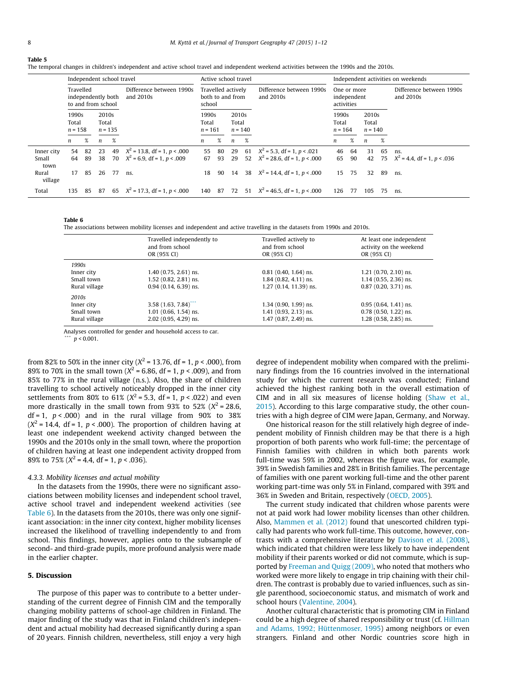<span id="page-8-0"></span>

|--|

The temporal changes in children's independent and active school travel and independent weekend activities between the 1990s and the 2010s.

|                             | Independent school travel                             |          |                                       |          |                                                                  |                                                  | Active school travel |                             |          | Independent activities on weekends                             |                                          |          |                             |          |                                        |
|-----------------------------|-------------------------------------------------------|----------|---------------------------------------|----------|------------------------------------------------------------------|--------------------------------------------------|----------------------|-----------------------------|----------|----------------------------------------------------------------|------------------------------------------|----------|-----------------------------|----------|----------------------------------------|
|                             | Travelled<br>independently both<br>to and from school |          | Difference between 1990s<br>and 2010s |          |                                                                  | Travelled actively<br>both to and from<br>school |                      |                             |          | Difference between 1990s<br>and $2010s$                        | One or more<br>independent<br>activities |          |                             |          | Difference between 1990s<br>and 2010s  |
|                             | 1990s<br>Total<br>$n = 158$                           |          | 2010s<br>Total<br>$n = 135$           |          |                                                                  | 1990s<br>Total<br>$n = 161$                      |                      | 2010s<br>Total<br>$n = 140$ |          |                                                                | 1990s<br>Total<br>$n = 164$              |          | 2010s<br>Total<br>$n = 140$ |          |                                        |
|                             | n                                                     | %        | n                                     | %        |                                                                  | $\mathfrak n$                                    | %                    | $\boldsymbol{n}$            | %        |                                                                | $\mathfrak n$                            | %        | n                           | %        |                                        |
| Inner city<br>Small<br>town | 54<br>64                                              | 82<br>89 | 23<br>38                              | 49<br>70 | $X^2 = 13.8$ , df = 1, p < .000<br>$X^2$ = 6.9, df = 1, p < .009 | 55<br>67                                         | 80<br>93             | 29<br>29                    | 61<br>52 | $X^2$ = 5.3, df = 1, p < 021<br>$X^2 = 28.6$ , df = 1, p < 000 | 46<br>65                                 | 64<br>90 | 31<br>42                    | 65<br>75 | ns.<br>$X^2 = 4.4$ , df = 1, p < 0.036 |
| Rural<br>village            | 17                                                    | 85       | 26                                    | 77       | ns.                                                              | 18                                               | 90                   | 14                          |          | 38 $X^2 = 14.4$ , df = 1, p < 0.00                             | 15                                       | 75       | 32                          | 89       | ns.                                    |
| Total                       | 135                                                   | 85       | 87                                    |          | 65 $X^2 = 17.3$ , df = 1, p < 000                                | 140 87                                           |                      | 72                          |          | 51 $X^2 = 46.5$ , df = 1, p < 000                              | 126                                      | 77       | 105                         | 75       | ns.                                    |

#### Table 6

The associations between mobility licenses and independent and active travelling in the datasets from 1990s and 2010s.

|               | Travelled independently to<br>and from school<br>OR (95% CI) | Travelled actively to<br>and from school<br>OR (95% CI) | At least one independent<br>activity on the weekend<br>OR (95% CI) |
|---------------|--------------------------------------------------------------|---------------------------------------------------------|--------------------------------------------------------------------|
| 1990s         |                                                              |                                                         |                                                                    |
| Inner city    | $1.40$ (0.75, 2.61) ns.                                      | $0.81$ (0.40, 1.64) ns.                                 | $1.21$ (0.70, 2.10) ns.                                            |
| Small town    | $1.52$ (0.82, 2.81) ns.                                      | $1.84$ (0.82, 4.11) ns.                                 | $1.14$ (0.55, 2.36) ns.                                            |
| Rural village | $0.94$ (0.14, 6.39) ns.                                      | 1.27 (0.14, 11.39) ns.                                  | $0.87$ (0.20, 3.71) ns.                                            |
| 2010s         |                                                              |                                                         |                                                                    |
| Inner city    | 3.58(1.63, 7.84)                                             | $1.34$ (0.90, 1.99) ns.                                 | $0.95(0.64, 1.41)$ ns.                                             |
| Small town    | $1.01$ (0.66, 1.54) ns.                                      | $1.41$ (0.93, 2.13) ns.                                 | $0.78$ (0.50, 1.22) ns.                                            |
| Rural village | $2.02$ (0.95, 4.29) ns.                                      | 1.47 (0.87, 2.49) ns.                                   | 1.28 (0.58, 2.85) ns.                                              |

Analyses controlled for gender and household access to car.

 $p < 0.001$ .

from 82% to 50% in the inner city ( $X^2$  = 13.76, df = 1, p < .000), from 89% to 70% in the small town ( $X^2$  = 6.86, df = 1, p < .009), and from 85% to 77% in the rural village (n.s.). Also, the share of children travelling to school actively noticeably dropped in the inner city settlements from 80% to 61% ( $X^2$  = 5.3, df = 1, p < .022) and even more drastically in the small town from 93% to 52% ( $X^2$  = 28.6, df = 1,  $p < .000$ ) and in the rural village from 90% to 38%  $(X^2 = 14.4, df = 1, p < .000)$ . The proportion of children having at least one independent weekend activity changed between the 1990s and the 2010s only in the small town, where the proportion of children having at least one independent activity dropped from 89% to 75% ( $X^2$  = 4.4, df = 1, p < .036).

#### 4.3.3. Mobility licenses and actual mobility

In the datasets from the 1990s, there were no significant associations between mobility licenses and independent school travel, active school travel and independent weekend activities (see Table 6). In the datasets from the 2010s, there was only one significant association: in the inner city context, higher mobility licenses increased the likelihood of travelling independently to and from school. This findings, however, applies onto to the subsample of second- and third-grade pupils, more profound analysis were made in the earlier chapter.

#### 5. Discussion

The purpose of this paper was to contribute to a better understanding of the current degree of Finnish CIM and the temporally changing mobility patterns of school-age children in Finland. The major finding of the study was that in Finland children's independent and actual mobility had decreased significantly during a span of 20 years. Finnish children, nevertheless, still enjoy a very high

degree of independent mobility when compared with the preliminary findings from the 16 countries involved in the international study for which the current research was conducted; Finland achieved the highest ranking both in the overall estimation of CIM and in all six measures of license holding [\(Shaw et al.,](#page-12-0) [2015\)](#page-12-0). According to this large comparative study, the other countries with a high degree of CIM were Japan, Germany, and Norway.

One historical reason for the still relatively high degree of independent mobility of Finnish children may be that there is a high proportion of both parents who work full-time; the percentage of Finnish families with children in which both parents work full-time was 59% in 2002, whereas the figure was, for example, 39% in Swedish families and 28% in British families. The percentage of families with one parent working full-time and the other parent working part-time was only 5% in Finland, compared with 39% and 36% in Sweden and Britain, respectively [\(OECD, 2005\)](#page-12-0).

The current study indicated that children whose parents were not at paid work had lower mobility licenses than other children. Also, [Mammen et al. \(2012\)](#page-11-0) found that unescorted children typically had parents who work full-time. This outcome, however, contrasts with a comprehensive literature by [Davison et al. \(2008\),](#page-11-0) which indicated that children were less likely to have independent mobility if their parents worked or did not commute, which is supported by [Freeman and Quigg \(2009\),](#page-11-0) who noted that mothers who worked were more likely to engage in trip chaining with their children. The contrast is probably due to varied influences, such as single parenthood, socioeconomic status, and mismatch of work and school hours ([Valentine, 2004](#page-12-0)).

Another cultural characteristic that is promoting CIM in Finland could be a high degree of shared responsibility or trust (cf. [Hillman](#page-11-0) [and Adams, 1992; Hüttenmoser, 1995](#page-11-0)) among neighbors or even strangers. Finland and other Nordic countries score high in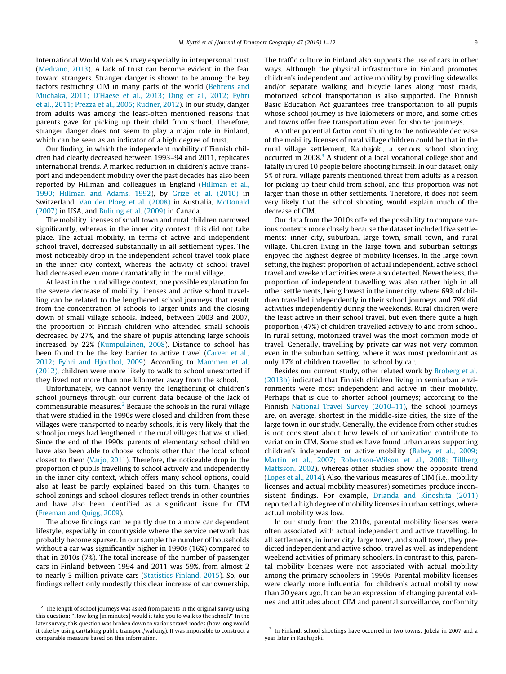International World Values Survey especially in interpersonal trust ([Medrano, 2013\)](#page-11-0). A lack of trust can become evident in the fear toward strangers. Stranger danger is shown to be among the key factors restricting CIM in many parts of the world ([Behrens and](#page-11-0) [Muchaka, 2011; D'Haese et al., 2013; Ding et al., 2012; Fyhri](#page-11-0) [et al., 2011; Prezza et al., 2005; Rudner, 2012](#page-11-0)). In our study, danger from adults was among the least-often mentioned reasons that parents gave for picking up their child from school. Therefore, stranger danger does not seem to play a major role in Finland, which can be seen as an indicator of a high degree of trust.

Our finding, in which the independent mobility of Finnish children had clearly decreased between 1993–94 and 2011, replicates international trends. A marked reduction in children's active transport and independent mobility over the past decades has also been reported by Hillman and colleagues in England [\(Hillman et al.,](#page-11-0) [1990; Hillman and Adams, 1992\)](#page-11-0), by [Grize et al. \(2010\)](#page-11-0) in Switzerland, [Van der Ploeg et al. \(2008\)](#page-12-0) in Australia, [McDonald](#page-11-0) [\(2007\)](#page-11-0) in USA, and [Buliung et al. \(2009\)](#page-11-0) in Canada.

The mobility licenses of small town and rural children narrowed significantly, whereas in the inner city context, this did not take place. The actual mobility, in terms of active and independent school travel, decreased substantially in all settlement types. The most noticeably drop in the independent school travel took place in the inner city context, whereas the activity of school travel had decreased even more dramatically in the rural village.

At least in the rural village context, one possible explanation for the severe decrease of mobility licenses and active school travelling can be related to the lengthened school journeys that result from the concentration of schools to larger units and the closing down of small village schools. Indeed, between 2003 and 2007, the proportion of Finnish children who attended small schools decreased by 27%, and the share of pupils attending large schools increased by 22% [\(Kumpulainen, 2008](#page-11-0)). Distance to school has been found to be the key barrier to active travel ([Carver et al.,](#page-11-0) [2012; Fyhri and Hjorthol, 2009](#page-11-0)). According to [Mammen et al.](#page-11-0) [\(2012\),](#page-11-0) children were more likely to walk to school unescorted if they lived not more than one kilometer away from the school.

Unfortunately, we cannot verify the lengthening of children's school journeys through our current data because of the lack of commensurable measures. $2$  Because the schools in the rural village that were studied in the 1990s were closed and children from these villages were transported to nearby schools, it is very likely that the school journeys had lengthened in the rural villages that we studied. Since the end of the 1990s, parents of elementary school children have also been able to choose schools other than the local school closest to them ([Varjo, 2011](#page-12-0)). Therefore, the noticeable drop in the proportion of pupils travelling to school actively and independently in the inner city context, which offers many school options, could also at least be partly explained based on this turn. Changes to school zonings and school closures reflect trends in other countries and have also been identified as a significant issue for CIM ([Freeman and Quigg, 2009\)](#page-11-0).

The above findings can be partly due to a more car dependent lifestyle, especially in countryside where the service network has probably become sparser. In our sample the number of households without a car was significantly higher in 1990s (16%) compared to that in 2010s (7%). The total increase of the number of passenger cars in Finland between 1994 and 2011 was 59%, from almost 2 to nearly 3 million private cars ([Statistics Finland, 2015\)](#page-12-0). So, our findings reflect only modestly this clear increase of car ownership. The traffic culture in Finland also supports the use of cars in other ways. Although the physical infrastructure in Finland promotes children's independent and active mobility by providing sidewalks and/or separate walking and bicycle lanes along most roads, motorized school transportation is also supported. The Finnish Basic Education Act guarantees free transportation to all pupils whose school journey is five kilometers or more, and some cities and towns offer free transportation even for shorter journeys.

Another potential factor contributing to the noticeable decrease of the mobility licenses of rural village children could be that in the rural village settlement, Kauhajoki, a serious school shooting occurred in 2008.<sup>3</sup> A student of a local vocational college shot and fatally injured 10 people before shooting himself. In our dataset, only 5% of rural village parents mentioned threat from adults as a reason for picking up their child from school, and this proportion was not larger than those in other settlements. Therefore, it does not seem very likely that the school shooting would explain much of the decrease of CIM.

Our data from the 2010s offered the possibility to compare various contexts more closely because the dataset included five settlements: inner city, suburban, large town, small town, and rural village. Children living in the large town and suburban settings enjoyed the highest degree of mobility licenses. In the large town setting, the highest proportion of actual independent, active school travel and weekend activities were also detected. Nevertheless, the proportion of independent travelling was also rather high in all other settlements, being lowest in the inner city, where 69% of children travelled independently in their school journeys and 79% did activities independently during the weekends. Rural children were the least active in their school travel, but even there quite a high proportion (47%) of children travelled actively to and from school. In rural setting, motorized travel was the most common mode of travel. Generally, travelling by private car was not very common even in the suburban setting, where it was most predominant as only 17% of children travelled to school by car.

Besides our current study, other related work by [Broberg et al.](#page-11-0) [\(2013b\)](#page-11-0) indicated that Finnish children living in semiurban environments were most independent and active in their mobility. Perhaps that is due to shorter school journeys; according to the Finnish [National Travel Survey \(2010–11\),](#page-12-0) the school journeys are, on average, shortest in the middle-size cities, the size of the large town in our study. Generally, the evidence from other studies is not consistent about how levels of urbanization contribute to variation in CIM. Some studies have found urban areas supporting children's independent or active mobility ([Babey et al., 2009;](#page-11-0) [Martin et al., 2007; Robertson-Wilson et al., 2008; Tillberg](#page-11-0) [Mattsson, 2002](#page-11-0)), whereas other studies show the opposite trend ([Lopes et al., 2014\)](#page-11-0). Also, the various measures of CIM (i.e., mobility licenses and actual mobility measures) sometimes produce inconsistent findings. For example, [Drianda and Kinoshita \(2011\)](#page-11-0) reported a high degree of mobility licenses in urban settings, where actual mobility was low.

In our study from the 2010s, parental mobility licenses were often associated with actual independent and active travelling. In all settlements, in inner city, large town, and small town, they predicted independent and active school travel as well as independent weekend activities of primary schoolers. In contrast to this, parental mobility licenses were not associated with actual mobility among the primary schoolers in 1990s. Parental mobility licenses were clearly more influential for children's actual mobility now than 20 years ago. It can be an expression of changing parental val- $\frac{1}{\text{Area}}$  and attitudes about CIM and parental surveillance, conformity  $\frac{1}{\text{Area}}$  are length of school journeys was asked from parents in the original survey using

this question: ''How long [in minutes] would it take you to walk to the school?'' In the later survey, this question was broken down to various travel modes (how long would it take by using car/taking public transport/walking). It was impossible to construct a comparable measure based on this information.

<sup>&</sup>lt;sup>3</sup> In Finland, school shootings have occurred in two towns: Jokela in 2007 and a year later in Kauhajoki.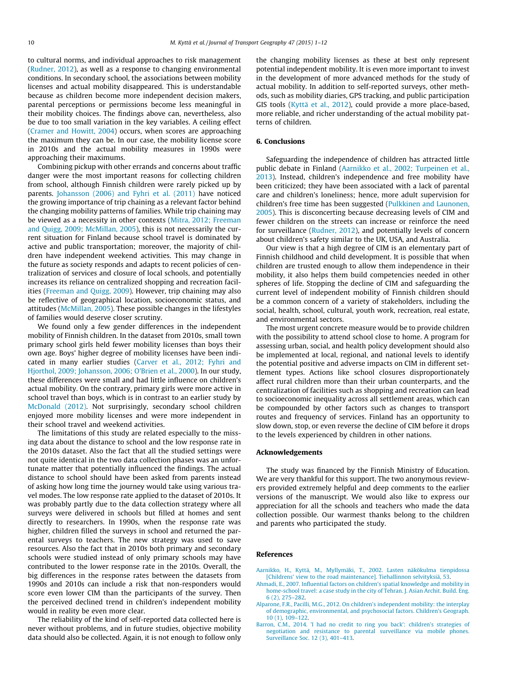<span id="page-10-0"></span>to cultural norms, and individual approaches to risk management ([Rudner, 2012](#page-12-0)), as well as a response to changing environmental conditions. In secondary school, the associations between mobility licenses and actual mobility disappeared. This is understandable because as children become more independent decision makers, parental perceptions or permissions become less meaningful in their mobility choices. The findings above can, nevertheless, also be due to too small variation in the key variables. A ceiling effect ([Cramer and Howitt, 2004\)](#page-11-0) occurs, when scores are approaching the maximum they can be. In our case, the mobility license score in 2010s and the actual mobility measures in 1990s were approaching their maximums.

Combining pickup with other errands and concerns about traffic danger were the most important reasons for collecting children from school, although Finnish children were rarely picked up by parents. [Johansson \(2006\) and Fyhri et al. \(2011\)](#page-11-0) have noticed the growing importance of trip chaining as a relevant factor behind the changing mobility patterns of families. While trip chaining may be viewed as a necessity in other contexts ([Mitra, 2012; Freeman](#page-11-0) [and Quigg, 2009; McMillan, 2005](#page-11-0)), this is not necessarily the current situation for Finland because school travel is dominated by active and public transportation; moreover, the majority of children have independent weekend activities. This may change in the future as society responds and adapts to recent policies of centralization of services and closure of local schools, and potentially increases its reliance on centralized shopping and recreation facilities [\(Freeman and Quigg, 2009](#page-11-0)). However, trip chaining may also be reflective of geographical location, socioeconomic status, and attitudes [\(McMillan, 2005](#page-11-0)). These possible changes in the lifestyles of families would deserve closer scrutiny.

We found only a few gender differences in the independent mobility of Finnish children. In the dataset from 2010s, small town primary school girls held fewer mobility licenses than boys their own age. Boys' higher degree of mobility licenses have been indicated in many earlier studies [\(Carver et al., 2012; Fyhri and](#page-11-0) [Hjorthol, 2009; Johansson, 2006; O'Brien et al., 2000](#page-11-0)). In our study, these differences were small and had little influence on children's actual mobility. On the contrary, primary girls were more active in school travel than boys, which is in contrast to an earlier study by [McDonald \(2012\)](#page-11-0). Not surprisingly, secondary school children enjoyed more mobility licenses and were more independent in their school travel and weekend activities.

The limitations of this study are related especially to the missing data about the distance to school and the low response rate in the 2010s dataset. Also the fact that all the studied settings were not quite identical in the two data collection phases was an unfortunate matter that potentially influenced the findings. The actual distance to school should have been asked from parents instead of asking how long time the journey would take using various travel modes. The low response rate applied to the dataset of 2010s. It was probably partly due to the data collection strategy where all surveys were delivered in schools but filled at homes and sent directly to researchers. In 1990s, when the response rate was higher, children filled the surveys in school and returned the parental surveys to teachers. The new strategy was used to save resources. Also the fact that in 2010s both primary and secondary schools were studied instead of only primary schools may have contributed to the lower response rate in the 2010s. Overall, the big differences in the response rates between the datasets from 1990s and 2010s can include a risk that non-responders would score even lower CIM than the participants of the survey. Then the perceived declined trend in children's independent mobility would in reality be even more clear.

The reliability of the kind of self-reported data collected here is never without problems, and in future studies, objective mobility data should also be collected. Again, it is not enough to follow only the changing mobility licenses as these at best only represent potential independent mobility. It is even more important to invest in the development of more advanced methods for the study of actual mobility. In addition to self-reported surveys, other methods, such as mobility diaries, GPS tracking, and public participation GIS tools ([Kyttä et al., 2012](#page-11-0)), could provide a more place-based, more reliable, and richer understanding of the actual mobility patterns of children.

#### 6. Conclusions

Safeguarding the independence of children has attracted little public debate in Finland (Aarnikko et al., 2002; Turpeinen et al., 2013). Instead, children's independence and free mobility have been criticized; they have been associated with a lack of parental care and children's loneliness; hence, more adult supervision for children's free time has been suggested [\(Pulkkinen and Launonen,](#page-12-0) [2005\)](#page-12-0). This is disconcerting because decreasing levels of CIM and fewer children on the streets can increase or reinforce the need for surveillance [\(Rudner, 2012](#page-12-0)), and potentially levels of concern about children's safety similar to the UK, USA, and Australia.

Our view is that a high degree of CIM is an elementary part of Finnish childhood and child development. It is possible that when children are trusted enough to allow them independence in their mobility, it also helps them build competencies needed in other spheres of life. Stopping the decline of CIM and safeguarding the current level of independent mobility of Finnish children should be a common concern of a variety of stakeholders, including the social, health, school, cultural, youth work, recreation, real estate, and environmental sectors.

The most urgent concrete measure would be to provide children with the possibility to attend school close to home. A program for assessing urban, social, and health policy development should also be implemented at local, regional, and national levels to identify the potential positive and adverse impacts on CIM in different settlement types. Actions like school closures disproportionately affect rural children more than their urban counterparts, and the centralization of facilities such as shopping and recreation can lead to socioeconomic inequality across all settlement areas, which can be compounded by other factors such as changes to transport routes and frequency of services. Finland has an opportunity to slow down, stop, or even reverse the decline of CIM before it drops to the levels experienced by children in other nations.

#### Acknowledgements

The study was financed by the Finnish Ministry of Education. We are very thankful for this support. The two anonymous reviewers provided extremely helpful and deep comments to the earlier versions of the manuscript. We would also like to express our appreciation for all the schools and teachers who made the data collection possible. Our warmest thanks belong to the children and parents who participated the study.

#### References

- [Aarnikko, H., Kyttä, M., Myllymäki, T., 2002. Lasten näkökulma tienpidossa](http://refhub.elsevier.com/S0966-6923(15)00127-1/h0005) [\[Childrens' view to the road maintenance\]. Tiehallinnon selvityksiä, 53](http://refhub.elsevier.com/S0966-6923(15)00127-1/h0005).
- [Ahmadi, E., 2007. Influential factors on children's spatial knowledge and mobility in](http://refhub.elsevier.com/S0966-6923(15)00127-1/h0010) [home-school travel: a case study in the city of Tehran. J. Asian Archit. Build. Eng.](http://refhub.elsevier.com/S0966-6923(15)00127-1/h0010) [6 \(2\), 275–282.](http://refhub.elsevier.com/S0966-6923(15)00127-1/h0010)
- [Alparone, F.R., Pacilli, M.G., 2012. On children's independent mobility: the interplay](http://refhub.elsevier.com/S0966-6923(15)00127-1/h0015) [of demographic, environmental, and psychosocial factors. Children's Geograph.](http://refhub.elsevier.com/S0966-6923(15)00127-1/h0015) [10 \(1\), 109–122](http://refhub.elsevier.com/S0966-6923(15)00127-1/h0015).
- [Barron, C.M., 2014. 'I had no credit to ring you back': children's strategies of](http://refhub.elsevier.com/S0966-6923(15)00127-1/h0020) [negotiation and resistance to parental surveillance via mobile phones.](http://refhub.elsevier.com/S0966-6923(15)00127-1/h0020) [Surveillance Soc. 12 \(3\), 401–413](http://refhub.elsevier.com/S0966-6923(15)00127-1/h0020).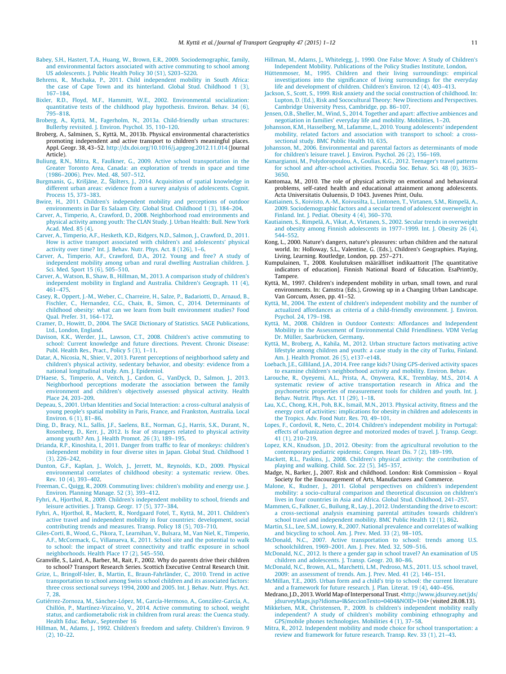- <span id="page-11-0"></span>[Babey, S.H., Hastert, T.A., Huang, W., Brown, E.R., 2009. Sociodemographic, family,](http://refhub.elsevier.com/S0966-6923(15)00127-1/h0025) [and environmental factors associated with active commuting to school among](http://refhub.elsevier.com/S0966-6923(15)00127-1/h0025) [US adolescents. J. Public Health Policy 30 \(S1\), S203–S220](http://refhub.elsevier.com/S0966-6923(15)00127-1/h0025).
- [Behrens, R., Muchaka, P., 2011. Child independent mobility in South Africa:](http://refhub.elsevier.com/S0966-6923(15)00127-1/h0030) [the case of Cape Town and its hinterland. Global Stud. Childhood 1 \(3\),](http://refhub.elsevier.com/S0966-6923(15)00127-1/h0030) [167–184](http://refhub.elsevier.com/S0966-6923(15)00127-1/h0030).
- [Bixler, R.D., Floyd, M.F., Hammitt, W.E., 2002. Environmental socialization:](http://refhub.elsevier.com/S0966-6923(15)00127-1/h0035) [quantitative tests of the childhood play hypothesis. Environ. Behav. 34 \(6\),](http://refhub.elsevier.com/S0966-6923(15)00127-1/h0035) [795–818](http://refhub.elsevier.com/S0966-6923(15)00127-1/h0035).
- [Broberg, A., Kyttä, M., Fagerholm, N., 2013a. Child-friendly urban structures:](http://refhub.elsevier.com/S0966-6923(15)00127-1/h0040) [Bullerby revisited. J. Environ. Psychol. 35, 110–120](http://refhub.elsevier.com/S0966-6923(15)00127-1/h0040).
- Broberg, A., Salminen, S., Kyttä, M., 2013b. Physical environmental characteristics promoting independent and active transport to children's meaningful places. Appl. Geogr. 38, 43–52. <http://dx.doi.org/10.1016/j.apgeog.2012.11.014> (Journal Article).
- [Buliung, R.N., Mitra, R., Faulkner, G., 2009. Active school transportation in the](http://refhub.elsevier.com/S0966-6923(15)00127-1/h0050) [Greater Toronto Area, Canada: an exploration of trends in space and time](http://refhub.elsevier.com/S0966-6923(15)00127-1/h0050) [\(1986–2006\). Prev. Med. 48, 507–512](http://refhub.elsevier.com/S0966-6923(15)00127-1/h0050).
- [Burgmanis,](http://refhub.elsevier.com/S0966-6923(15)00127-1/h0055) Ģ., Krišjāne, Z., Sķ[ilters, J., 2014. Acquisition of spatial knowledge in](http://refhub.elsevier.com/S0966-6923(15)00127-1/h0055) [different urban areas: evidence from a survey analysis of adolescents. Cognit.](http://refhub.elsevier.com/S0966-6923(15)00127-1/h0055) [Process 15, 373–383](http://refhub.elsevier.com/S0966-6923(15)00127-1/h0055).
- [Bwire, H., 2011. Children's independent mobility and perceptions of outdoor](http://refhub.elsevier.com/S0966-6923(15)00127-1/h0060) [environments in Dar Es Salaam City. Global Stud. Childhood 1 \(3\), 184–204.](http://refhub.elsevier.com/S0966-6923(15)00127-1/h0060)
- [Carver, A., Timperio, A., Crawford, D., 2008. Neighborhood road environments and](http://refhub.elsevier.com/S0966-6923(15)00127-1/h0065) [physical activity among youth: The CLAN Study. J. Urban Health: Bull. New York](http://refhub.elsevier.com/S0966-6923(15)00127-1/h0065) [Acad. Med. 85 \(4\)](http://refhub.elsevier.com/S0966-6923(15)00127-1/h0065).
- [Carver, A., Timperio, A.F., Hesketh, K.D., Ridgers, N.D., Salmon, J., Crawford, D., 2011.](http://refhub.elsevier.com/S0966-6923(15)00127-1/h0070) [How is active transport associated with children's and adolescents' physical](http://refhub.elsevier.com/S0966-6923(15)00127-1/h0070) [activity over time? Int. J. Behav. Nutr. Phys. Act. 8 \(126\), 1–6](http://refhub.elsevier.com/S0966-6923(15)00127-1/h0070).
- [Carver, A., Timperio, A.F., Crawford, D.A., 2012. Young and free? A study of](http://refhub.elsevier.com/S0966-6923(15)00127-1/h0075) [independent mobility among urban and rural dwelling Australian children. J.](http://refhub.elsevier.com/S0966-6923(15)00127-1/h0075) [Sci. Med. Sport 15 \(6\), 505–510.](http://refhub.elsevier.com/S0966-6923(15)00127-1/h0075)
- [Carver, A., Watson, B., Shaw, B., Hillman, M., 2013. A comparison study of children's](http://refhub.elsevier.com/S0966-6923(15)00127-1/h0080) [independent mobility in England and Australia. Children's Geograph. 11 \(4\),](http://refhub.elsevier.com/S0966-6923(15)00127-1/h0080) [461–475](http://refhub.elsevier.com/S0966-6923(15)00127-1/h0080).
- [Casey, R., Oppert, J.-M., Weber, C., Charreire, H., Salze, P., Badariotti, D., Arnaud, B.,](http://refhub.elsevier.com/S0966-6923(15)00127-1/h0085) [Fischler, C., Hernandez, C.G., Chaix, B., Simon, C., 2014. Determinants of](http://refhub.elsevier.com/S0966-6923(15)00127-1/h0085) [childhood obesity: what can we learn from built environment studies? Food](http://refhub.elsevier.com/S0966-6923(15)00127-1/h0085) [Qual. Prefer. 31, 164–172.](http://refhub.elsevier.com/S0966-6923(15)00127-1/h0085)
- [Cramer, D., Howitt, D., 2004. The SAGE Dictionary of Statistics. SAGE Publications,](http://refhub.elsevier.com/S0966-6923(15)00127-1/h0090) [Ltd., London, England.](http://refhub.elsevier.com/S0966-6923(15)00127-1/h0090)
- [Davison, K.K., Werder, J.L., Lawson, C.T., 2008. Children's active commuting to](http://refhub.elsevier.com/S0966-6923(15)00127-1/h0095) [school: Current knowledge and future directions. Prevent. Chronic Disease:](http://refhub.elsevier.com/S0966-6923(15)00127-1/h0095) [Publ. Health Res., Pract., Policy 5 \(3\), 1–11.](http://refhub.elsevier.com/S0966-6923(15)00127-1/h0095)
- [Datar, A., Nicosia, N., Shier, V., 2013. Parent perceptions of neighborhood safety and](http://refhub.elsevier.com/S0966-6923(15)00127-1/h0100) [children's physical activity, sedentary behavior, and obesity: evidence from a](http://refhub.elsevier.com/S0966-6923(15)00127-1/h0100) [national longitudinal study. Am. J. Epidemiol.](http://refhub.elsevier.com/S0966-6923(15)00127-1/h0100)
- [D'Haese, S., Timperio, A., Veitch, J., Cardon, G., VanDyck, D., Salmon, J., 2013.](http://refhub.elsevier.com/S0966-6923(15)00127-1/h0105) [Neighborhood perceptions moderate the association between the family](http://refhub.elsevier.com/S0966-6923(15)00127-1/h0105) [environment and children's objectively assessed physical activity. Health](http://refhub.elsevier.com/S0966-6923(15)00127-1/h0105) [Place 24, 203–209](http://refhub.elsevier.com/S0966-6923(15)00127-1/h0105).
- [Depeau, S., 2001. Urban Identities and Social Interaction: a cross-cultural analysis of](http://refhub.elsevier.com/S0966-6923(15)00127-1/h0110) [young people's spatial mobility in Paris, France, and Frankston, Australia. Local](http://refhub.elsevier.com/S0966-6923(15)00127-1/h0110) [Environ. 6 \(1\), 81–86.](http://refhub.elsevier.com/S0966-6923(15)00127-1/h0110)
- [Ding, D., Bracy, N.L., Sallis, J.F., Saelens, B.E., Norman, G.J., Harris, S.K., Durant, N.,](http://refhub.elsevier.com/S0966-6923(15)00127-1/h0115) [Rosenberg, D., Kerr, J., 2012. Is fear of strangers related to physical activity](http://refhub.elsevier.com/S0966-6923(15)00127-1/h0115) [among youth? Am. J. Health Promot. 26 \(3\), 189–195](http://refhub.elsevier.com/S0966-6923(15)00127-1/h0115).
- [Drianda, R.P., Kinoshita, I., 2011. Danger from traffic to fear of monkeys: children's](http://refhub.elsevier.com/S0966-6923(15)00127-1/h0120) [independent mobility in four diverse sites in Japan. Global Stud. Childhood 1](http://refhub.elsevier.com/S0966-6923(15)00127-1/h0120) [\(3\), 226–242](http://refhub.elsevier.com/S0966-6923(15)00127-1/h0120).
- [Dunton, G.F., Kaplan, J., Wolch, J., Jerrett, M., Reynolds, K.D., 2009. Physical](http://refhub.elsevier.com/S0966-6923(15)00127-1/h0125) [environmental correlates of childhood obesity: a systematic review. Obes.](http://refhub.elsevier.com/S0966-6923(15)00127-1/h0125) [Rev. 10 \(4\), 393–402.](http://refhub.elsevier.com/S0966-6923(15)00127-1/h0125)
- [Freeman, C., Quigg, R., 2009. Commuting lives: children's mobility and energy use. J.](http://refhub.elsevier.com/S0966-6923(15)00127-1/h0130) [Environ. Planning Manage. 52 \(3\), 393–412.](http://refhub.elsevier.com/S0966-6923(15)00127-1/h0130)
- [Fyhri, A., Hjorthol, R., 2009. Children's independent mobility to school, friends and](http://refhub.elsevier.com/S0966-6923(15)00127-1/h0135) [leisure activities. J. Transp. Geogr. 17 \(5\), 377–384](http://refhub.elsevier.com/S0966-6923(15)00127-1/h0135).
- [Fyhri, A., Hjorthol, R., Mackett, R., Nordgaard Fotel, T., Kyttä, M., 2011. Children's](http://refhub.elsevier.com/S0966-6923(15)00127-1/h0140) [active travel and independent mobility in four countries: development, social](http://refhub.elsevier.com/S0966-6923(15)00127-1/h0140) [contributing trends and measures. Transp. Policy 18 \(5\), 703–710](http://refhub.elsevier.com/S0966-6923(15)00127-1/h0140). [Giles-Corti, B., Wood, G., Pikora, T., Learnihan, V., Bulsara, M., Van Niel, K., Timperio,](http://refhub.elsevier.com/S0966-6923(15)00127-1/h0145)
- [A.F., McCormack, G., Villanueva, K., 2011. School site and the potential to walk](http://refhub.elsevier.com/S0966-6923(15)00127-1/h0145) [to school: the impact of street connectivity and traffic exposure in school](http://refhub.elsevier.com/S0966-6923(15)00127-1/h0145) [neighborhoods. Health Place 17 \(2\), 545–550.](http://refhub.elsevier.com/S0966-6923(15)00127-1/h0145)
- Granville, S., Laird, A., Barber, M., Rait, F., 2002. Why do parents drive their children to school? Transport Research Series. Scottich Executive Central Research Unit.
- [Grize, L., Bringolf-Isler, B., Martin, E., Braun-Fahrländer, C., 2010. Trend in active](http://refhub.elsevier.com/S0966-6923(15)00127-1/h0155) [transportation to school among Swiss school children and its associated factors:](http://refhub.elsevier.com/S0966-6923(15)00127-1/h0155) [three cross sectional surveys 1994, 2000 and 2005. Int. J. Behav. Nutr. Phys. Act.](http://refhub.elsevier.com/S0966-6923(15)00127-1/h0155) [7, 28.](http://refhub.elsevier.com/S0966-6923(15)00127-1/h0155)
- [Gutiérrez-Zornoza, M., Sánchez-López, M., García-Hermoso, A., González-García, A.,](http://refhub.elsevier.com/S0966-6923(15)00127-1/h0160) [Chillón, P., Martínez-Vizcaíno, V., 2014. Active commuting to school, weight](http://refhub.elsevier.com/S0966-6923(15)00127-1/h0160) [status, and cardiometabolic risk in children from rural areas: the Cuenca study.](http://refhub.elsevier.com/S0966-6923(15)00127-1/h0160) [Health Educ. Behav., September 16](http://refhub.elsevier.com/S0966-6923(15)00127-1/h0160)
- [Hillman, M., Adams, J., 1992. Children's freedom and safety. Children's Environ. 9](http://refhub.elsevier.com/S0966-6923(15)00127-1/h0165) [\(2\), 10–22.](http://refhub.elsevier.com/S0966-6923(15)00127-1/h0165)
- [Hillman, M., Adams, J., Whitelegg, J., 1990. One False Move: A Study of Children's](http://refhub.elsevier.com/S0966-6923(15)00127-1/h0170) [Independent Mobility. Publications of the Policy Studies Institute, London](http://refhub.elsevier.com/S0966-6923(15)00127-1/h0170).
- [Hüttenmoser, M., 1995. Children and their living surroundings: empirical](http://refhub.elsevier.com/S0966-6923(15)00127-1/h0175) [investigations into the significance of living surroundings for the everyday](http://refhub.elsevier.com/S0966-6923(15)00127-1/h0175) [life and development of children. Children's Environ. 12 \(4\), 403–413](http://refhub.elsevier.com/S0966-6923(15)00127-1/h0175).
- [Jackson, S., Scott, S., 1999. Risk anxiety and the social construction of childhood. In:](http://refhub.elsevier.com/S0966-6923(15)00127-1/h0180) [Lupton, D. \(Ed.\), Risk and Sococultural Theory: New Directions and Perspectives.](http://refhub.elsevier.com/S0966-6923(15)00127-1/h0180) [Cambridge University Press, Cambridge, pp. 86–107.](http://refhub.elsevier.com/S0966-6923(15)00127-1/h0180)
- [Jensen, O.B., Sheller, M., Wind, S., 2014. Together and apart: affective ambiences and](http://refhub.elsevier.com/S0966-6923(15)00127-1/h0185) [negotiation in families' everyday life and mobility. Mobilities, 1–20.](http://refhub.elsevier.com/S0966-6923(15)00127-1/h0185)
- [Johansson, K.M., Hasselberg, M., Lafamme, L., 2010. Young adolescents' independent](http://refhub.elsevier.com/S0966-6923(15)00127-1/h0190) [mobility, related factors and association with transport to school: a cross](http://refhub.elsevier.com/S0966-6923(15)00127-1/h0190)[sectional study. BMC Public Health 10, 635.](http://refhub.elsevier.com/S0966-6923(15)00127-1/h0190)
- [Johansson, M., 2006. Environmental and parental factors as determinants of mode](http://refhub.elsevier.com/S0966-6923(15)00127-1/h0195) [for children's leisure travel. J. Environ. Psychol. 26 \(2\), 156–169.](http://refhub.elsevier.com/S0966-6923(15)00127-1/h0195)
- [Kamargianni, M., Polydoropoulou, A., Goulias, K.G., 2012. Teenager's travel patterns](http://refhub.elsevier.com/S0966-6923(15)00127-1/h0200) [for school and after-school activities. Procedia Soc. Behav. Sci. 48 \(0\), 3635–](http://refhub.elsevier.com/S0966-6923(15)00127-1/h0200) [3650.](http://refhub.elsevier.com/S0966-6923(15)00127-1/h0200)
- Kantomaa, M., 2010. The role of physical activity on emotional and behavioural problems, self-rated health and educational attainment among adolescents. Acta Universitatis Ouluensis, D 1043. Juvenes Print, Oulu.
- [Kautiainen, S., Koivisto, A.-M., Koivusilta, L., Lintonen, T., Virtanen, S.M., Rimpelä, A.,](http://refhub.elsevier.com/S0966-6923(15)00127-1/h0210) [2009. Sociodemographic factors and a secular trend of adolescent overweight in](http://refhub.elsevier.com/S0966-6923(15)00127-1/h0210) [Finland. Int. J. Pediat. Obesity 4 \(4\), 360–370.](http://refhub.elsevier.com/S0966-6923(15)00127-1/h0210)
- [Kautiainen, S., Rimpelä, A., Vikat, A., Virtanen, S., 2002. Secular trends in overweight](http://refhub.elsevier.com/S0966-6923(15)00127-1/h0215) [and obesity among Finnish adolescents in 1977–1999. Int. J. Obesity 26 \(4\),](http://refhub.elsevier.com/S0966-6923(15)00127-1/h0215) [544–552](http://refhub.elsevier.com/S0966-6923(15)00127-1/h0215).
- Kong, L., 2000. Nature's dangers, nature's pleasures: urban children and the natural world. In: Holloway, S.L., Valentine, G. (Eds.), Children's Geographies. Playing, Living, Learning. Routledge, London, pp. 257–271.
- Kumpulainen, T., 2008. Koulutuksen määrälliset indikaattorit [The quantitative indicators of education]. Finnish National Board of Education. EsaPrintOy, Tampere.
- Kyttä, M., 1997. Children's independent mobility in urban, small town, and rural environments. In: Camstra (Eds.), Growing up in a Changing Urban Landscape. Van Gorcum, Assen, pp. 41–52.
- [Kyttä, M., 2004. The extent of children's independent mobility and the number of](http://refhub.elsevier.com/S0966-6923(15)00127-1/h0235) [actualized affordances as criteria of a child-friendly environment. J. Environ.](http://refhub.elsevier.com/S0966-6923(15)00127-1/h0235) [Psychol. 24, 179–198](http://refhub.elsevier.com/S0966-6923(15)00127-1/h0235).
- [Kyttä, M., 2008. Children in Outdoor Contexts: Affordances and Independent](http://refhub.elsevier.com/S0966-6923(15)00127-1/h0240) [Mobility in the Assessment of Environmental Child Friendliness. VDM Verlag](http://refhub.elsevier.com/S0966-6923(15)00127-1/h0240) [Dr. Müller, Saarbrücken, Germany](http://refhub.elsevier.com/S0966-6923(15)00127-1/h0240).
- [Kyttä, M., Broberg, A., Kahila, M., 2012. Urban structure factors motivating active](http://refhub.elsevier.com/S0966-6923(15)00127-1/h0245) [lifestyle among children and youth: a case study in the city of Turku, Finland.](http://refhub.elsevier.com/S0966-6923(15)00127-1/h0245) [Am. J. Health Promot. 26 \(5\), e137–e148](http://refhub.elsevier.com/S0966-6923(15)00127-1/h0245).
- [Loebach, J.E., Gilliland, J.A., 2014. Free range kids? Using GPS-derived activity spaces](http://refhub.elsevier.com/S0966-6923(15)00127-1/h0250) [to examine children's neighborhood activity and mobility. Environ. Behav.](http://refhub.elsevier.com/S0966-6923(15)00127-1/h0250)
- [Larouche, R., Oyeyemi, A.L., Prista, A., Onywera, K.K., Tremblay, M.S., 2014. A](http://refhub.elsevier.com/S0966-6923(15)00127-1/h0255) [systematic review of active transportation research in Africa and the](http://refhub.elsevier.com/S0966-6923(15)00127-1/h0255) [psychometric properties of measurement tools for children and youth. Int. J.](http://refhub.elsevier.com/S0966-6923(15)00127-1/h0255) [Behav. Nutrit. Phys. Act. 11 \(29\), 1–18](http://refhub.elsevier.com/S0966-6923(15)00127-1/h0255).
- [Lau, X.C., Chong, K.H., Poh, B.K., Ismail, M.N., 2013. Physical activity, fitness and the](http://refhub.elsevier.com/S0966-6923(15)00127-1/h0260) [energy cost of activities: implications for obesity in children and adolescents in](http://refhub.elsevier.com/S0966-6923(15)00127-1/h0260) [the Tropics. Adv. Food Nutr. Res. 70, 49–101.](http://refhub.elsevier.com/S0966-6923(15)00127-1/h0260)
- [Lopes, F., Cordovil, R., Neto, C., 2014. Children's independent mobility in Portugal:](http://refhub.elsevier.com/S0966-6923(15)00127-1/h0265) [effects of urbanization degree and motorized modes of travel. J. Transp. Geogr.](http://refhub.elsevier.com/S0966-6923(15)00127-1/h0265) [41 \(1\), 210–219](http://refhub.elsevier.com/S0966-6923(15)00127-1/h0265).
- [Lopez, K.N., Knudson, J.D., 2012. Obesity: from the agricultural revolution to the](http://refhub.elsevier.com/S0966-6923(15)00127-1/h0270) [contemporary pediatric epidemic. Congen. Heart Dis. 7 \(2\), 189–199.](http://refhub.elsevier.com/S0966-6923(15)00127-1/h0270)
- [Mackett, R.L., Paskins, J., 2008. Children's physical activity: the contribution of](http://refhub.elsevier.com/S0966-6923(15)00127-1/h0275) [playing and walking. Child. Soc. 22 \(5\), 345–357](http://refhub.elsevier.com/S0966-6923(15)00127-1/h0275).
- Madge, N., Barker, J., 2007. Risk and childhood. London: Risk Commission Royal Society for the Encouragement of Arts, Manufactures and Commerce.
- [Malone, K., Rudner, J., 2011. Global perspectives on children's independent](http://refhub.elsevier.com/S0966-6923(15)00127-1/h0285) [mobility: a socio-cultural comparison and theoretical discussion on children's](http://refhub.elsevier.com/S0966-6923(15)00127-1/h0285) [lives in four countries in Asia and Africa. Global Stud. Childhood, 241–257](http://refhub.elsevier.com/S0966-6923(15)00127-1/h0285).
- [Mammen, G., Falkner, G., Builung, R., Lay, J., 2012. Understanding the drive to escort:](http://refhub.elsevier.com/S0966-6923(15)00127-1/h0290) [a cross-sectional analysis examining parental attitudes towards children's](http://refhub.elsevier.com/S0966-6923(15)00127-1/h0290) [school travel and independent mobility. BMC Public Health 12 \(1\), 862.](http://refhub.elsevier.com/S0966-6923(15)00127-1/h0290)
- [Martin, S.L., Lee, S.M., Lowry, R., 2007. National prevalence and correlates of walking](http://refhub.elsevier.com/S0966-6923(15)00127-1/h0295) [and bicycling to school. Am. J. Prev. Med. 33 \(2\), 98–105](http://refhub.elsevier.com/S0966-6923(15)00127-1/h0295).
- [McDonald, N.C., 2007. Active transportation to school: trends among U.S.](http://refhub.elsevier.com/S0966-6923(15)00127-1/h0300) [schoolchildren, 1969–2001. Am. J. Prev. Med. 32, 509–516](http://refhub.elsevier.com/S0966-6923(15)00127-1/h0300).
- [McDonald, N.C., 2012. Is there a gender gap in school travel? An examination of US](http://refhub.elsevier.com/S0966-6923(15)00127-1/h0305) [children and adolescents. J. Transp. Geogr. 20, 80–86.](http://refhub.elsevier.com/S0966-6923(15)00127-1/h0305)
- [McDonald, N.C., Brown, A.L., Marchetti, L.M., Pedroso, M.S., 2011. U.S. school travel,](http://refhub.elsevier.com/S0966-6923(15)00127-1/h0310) [2009: an assessment of trends. Am. J. Prev. Med. 41 \(2\), 146–151.](http://refhub.elsevier.com/S0966-6923(15)00127-1/h0310)
- [McMillan, T.E., 2005. Urban form and a child's trip to school: the current literature](http://refhub.elsevier.com/S0966-6923(15)00127-1/h0315) [and a framework for future research. J. Plan. Literat. 19 \(4\), 440–456.](http://refhub.elsevier.com/S0966-6923(15)00127-1/h0315)
- Medrano, J.D., 2013. World Map of Interpersonal Trust. [<http://www.jdsurvey.net/jds/](http://www.jdsurvey.net/jds/jdsurveyMaps.jsp?Idioma=I%26SeccionTexto=0404%26NOID=104) [jdsurveyMaps.jsp?Idioma=I&SeccionTexto=0404&NOID=104>](http://www.jdsurvey.net/jds/jdsurveyMaps.jsp?Idioma=I%26SeccionTexto=0404%26NOID=104) (visited 28.08.13).
- [Mikkelsen, M.R., Christensen, P., 2009. Is children's independent mobility really](http://refhub.elsevier.com/S0966-6923(15)00127-1/h0325) [independent? A study of children's mobility combining ethnography and](http://refhub.elsevier.com/S0966-6923(15)00127-1/h0325) [GPS/mobile phones technologies. Mobilities 4 \(1\), 37–58](http://refhub.elsevier.com/S0966-6923(15)00127-1/h0325).
- [Mitra, R., 2012. Independent mobility and mode choice for school transportation: a](http://refhub.elsevier.com/S0966-6923(15)00127-1/h0330) [review and framework for future research. Transp. Rev. 33 \(1\), 21–43.](http://refhub.elsevier.com/S0966-6923(15)00127-1/h0330)